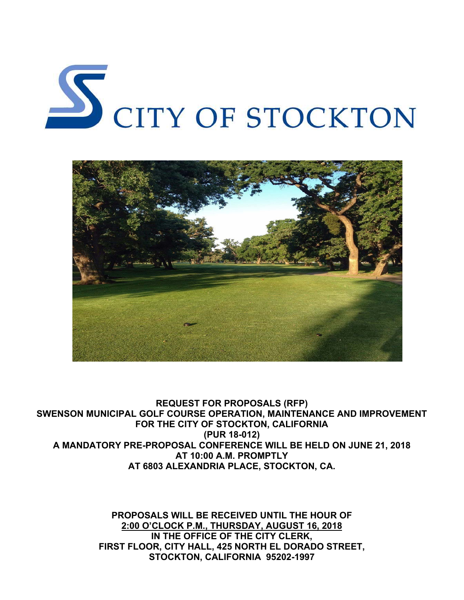



**REQUEST FOR PROPOSALS (RFP) SWENSON MUNICIPAL GOLF COURSE OPERATION, MAINTENANCE AND IMPROVEMENT FOR THE CITY OF STOCKTON, CALIFORNIA (PUR 18-012) A MANDATORY PRE-PROPOSAL CONFERENCE WILL BE HELD ON JUNE 21, 2018 AT 10:00 A.M. PROMPTLY AT 6803 ALEXANDRIA PLACE, STOCKTON, CA.** 

> **PROPOSALS WILL BE RECEIVED UNTIL THE HOUR OF 2:00 O'CLOCK P.M., THURSDAY, AUGUST 16, 2018 IN THE OFFICE OF THE CITY CLERK, FIRST FLOOR, CITY HALL, 425 NORTH EL DORADO STREET, STOCKTON, CALIFORNIA 95202-1997**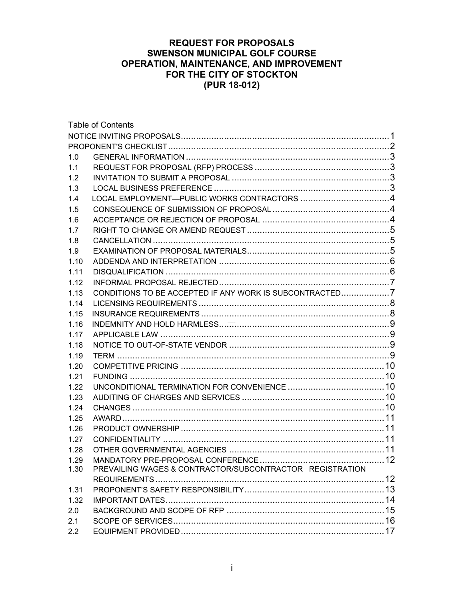|      | <b>Table of Contents</b>                                 |  |
|------|----------------------------------------------------------|--|
|      |                                                          |  |
|      |                                                          |  |
| 1.0  |                                                          |  |
| 1.1  |                                                          |  |
| 1.2  |                                                          |  |
| 1.3  |                                                          |  |
| 1.4  | LOCAL EMPLOYMENT—PUBLIC WORKS CONTRACTORS 4              |  |
| 1.5  |                                                          |  |
| 1.6  |                                                          |  |
| 1.7  |                                                          |  |
| 1.8  |                                                          |  |
| 1.9  |                                                          |  |
| 1.10 |                                                          |  |
| 1.11 |                                                          |  |
| 1.12 |                                                          |  |
| 1.13 | CONDITIONS TO BE ACCEPTED IF ANY WORK IS SUBCONTRACTED7  |  |
| 1.14 |                                                          |  |
| 1.15 |                                                          |  |
| 1.16 |                                                          |  |
| 1.17 |                                                          |  |
| 1.18 |                                                          |  |
| 1.19 |                                                          |  |
| 1.20 |                                                          |  |
| 1.21 |                                                          |  |
| 1.22 |                                                          |  |
| 1.23 |                                                          |  |
| 1.24 |                                                          |  |
| 1.25 |                                                          |  |
| 1.26 |                                                          |  |
| 1.27 |                                                          |  |
| 1.28 |                                                          |  |
| 1.29 |                                                          |  |
| 1.30 | PREVAILING WAGES & CONTRACTOR/SUBCONTRACTOR REGISTRATION |  |
|      |                                                          |  |
| 1.31 |                                                          |  |
| 1.32 |                                                          |  |
| 2.0  |                                                          |  |
| 2.1  |                                                          |  |
| 2.2  |                                                          |  |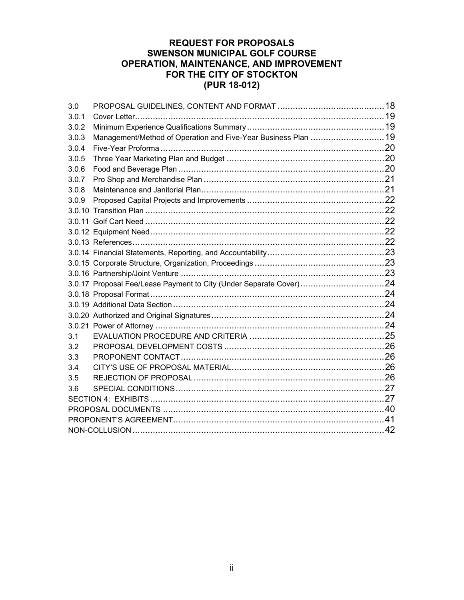| 3.0   |                                                                    |  |  |  |  |
|-------|--------------------------------------------------------------------|--|--|--|--|
| 3.0.1 |                                                                    |  |  |  |  |
| 3.0.2 |                                                                    |  |  |  |  |
| 3.0.3 | Management/Method of Operation and Five-Year Business Plan  19     |  |  |  |  |
| 3.0.4 |                                                                    |  |  |  |  |
| 3.0.5 |                                                                    |  |  |  |  |
| 3.0.6 |                                                                    |  |  |  |  |
| 3.0.7 |                                                                    |  |  |  |  |
| 3.0.8 |                                                                    |  |  |  |  |
| 3.0.9 |                                                                    |  |  |  |  |
|       |                                                                    |  |  |  |  |
|       |                                                                    |  |  |  |  |
|       |                                                                    |  |  |  |  |
|       |                                                                    |  |  |  |  |
|       |                                                                    |  |  |  |  |
|       |                                                                    |  |  |  |  |
|       |                                                                    |  |  |  |  |
|       | 3.0.17 Proposal Fee/Lease Payment to City (Under Separate Cover)24 |  |  |  |  |
|       |                                                                    |  |  |  |  |
|       |                                                                    |  |  |  |  |
|       |                                                                    |  |  |  |  |
|       |                                                                    |  |  |  |  |
| 3.1   |                                                                    |  |  |  |  |
| 3.2   |                                                                    |  |  |  |  |
| 3.3   |                                                                    |  |  |  |  |
| 3.4   |                                                                    |  |  |  |  |
| 3.5   |                                                                    |  |  |  |  |
| 3.6   |                                                                    |  |  |  |  |
|       |                                                                    |  |  |  |  |
|       |                                                                    |  |  |  |  |
|       |                                                                    |  |  |  |  |
|       |                                                                    |  |  |  |  |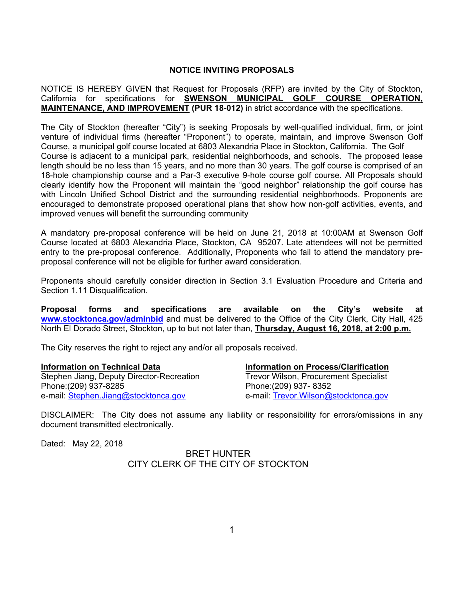#### **NOTICE INVITING PROPOSALS**

NOTICE IS HEREBY GIVEN that Request for Proposals (RFP) are invited by the City of Stockton, California for specifications for **SWENSON MUNICIPAL GOLF COURSE OPERATION, MAINTENANCE, AND IMPROVEMENT (PUR 18-012)** in strict accordance with the specifications.

The City of Stockton (hereafter "City") is seeking Proposals by well-qualified individual, firm, or joint venture of individual firms (hereafter "Proponent") to operate, maintain, and improve Swenson Golf Course, a municipal golf course located at 6803 Alexandria Place in Stockton, California. The Golf Course is adjacent to a municipal park, residential neighborhoods, and schools. The proposed lease length should be no less than 15 years, and no more than 30 years. The golf course is comprised of an 18-hole championship course and a Par-3 executive 9-hole course golf course. All Proposals should clearly identify how the Proponent will maintain the "good neighbor" relationship the golf course has with Lincoln Unified School District and the surrounding residential neighborhoods. Proponents are encouraged to demonstrate proposed operational plans that show how non-golf activities, events, and improved venues will benefit the surrounding community

A mandatory pre-proposal conference will be held on June 21, 2018 at 10:00AM at Swenson Golf Course located at 6803 Alexandria Place, Stockton, CA 95207. Late attendees will not be permitted entry to the pre-proposal conference. Additionally, Proponents who fail to attend the mandatory preproposal conference will not be eligible for further award consideration.

Proponents should carefully consider direction in Section 3.1 Evaluation Procedure and Criteria and Section 1.11 Disqualification.

**Proposal forms and specifications are available on the City's website at www.stocktonca.gov/adminbid** and must be delivered to the Office of the City Clerk, City Hall, 425 North El Dorado Street, Stockton, up to but not later than, **Thursday, August 16, 2018, at 2:00 p.m.**

The City reserves the right to reject any and/or all proposals received.

Stephen Jiang, Deputy Director-Recreation Trevor Wilson, Procurement Specialist Phone:(209) 937-8285 Phone:(209) 937- 8352 e-mail: Stephen.Jiang@stocktonca.gov e-mail: Trevor.Wilson@stocktonca.gov

#### **Information on Technical Data Information on Process/Clarification**

DISCLAIMER: The City does not assume any liability or responsibility for errors/omissions in any document transmitted electronically.

Dated: May 22, 2018

 BRET HUNTER CITY CLERK OF THE CITY OF STOCKTON.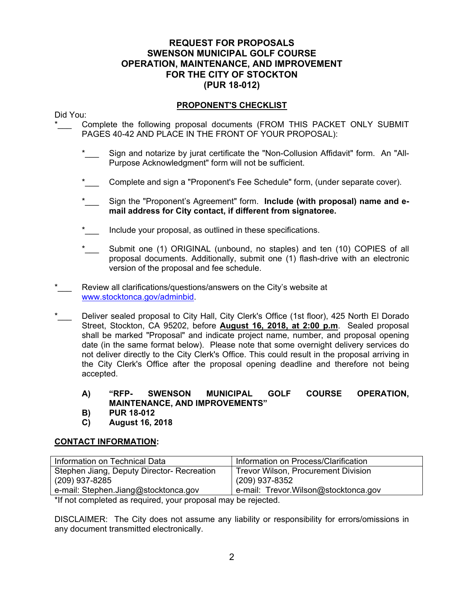#### **PROPONENT'S CHECKLIST**

Did You:

- Complete the following proposal documents (FROM THIS PACKET ONLY SUBMIT PAGES 40-42 AND PLACE IN THE FRONT OF YOUR PROPOSAL):
	- Sign and notarize by jurat certificate the "Non-Collusion Affidavit" form. An "All-Purpose Acknowledgment" form will not be sufficient.
	- \*\_\_\_ Complete and sign a "Proponent's Fee Schedule" form, (under separate cover).
	- Sign the "Proponent's Agreement" form. **Include (with proposal) name and email address for City contact, if different from signatoree.**
	- Include your proposal, as outlined in these specifications.
	- Submit one (1) ORIGINAL (unbound, no staples) and ten (10) COPIES of all proposal documents. Additionally, submit one (1) flash-drive with an electronic version of the proposal and fee schedule.
- Review all clarifications/questions/answers on the City's website at www.stocktonca.gov/adminbid.
- Street, Stockton, CA 95202, before **August 16, 2018, at 2:00 p.m**. Sealed proposal Deliver sealed proposal to City Hall, City Clerk's Office (1st floor), 425 North El Dorado shall be marked "Proposal" and indicate project name, number, and proposal opening date (in the same format below). Please note that some overnight delivery services do not deliver directly to the City Clerk's Office. This could result in the proposal arriving in the City Clerk's Office after the proposal opening deadline and therefore not being accepted.
	- **A) "RFP- SWENSON MUNICIPAL GOLF COURSE OPERATION, MAINTENANCE, AND IMPROVEMENTS"**
	- **B) PUR 18-012**
	- **C) August 16, 2018**

#### **CONTACT INFORMATION:**

| Information on Technical Data              | Information on Process/Clarification       |  |  |  |  |
|--------------------------------------------|--------------------------------------------|--|--|--|--|
| Stephen Jiang, Deputy Director- Recreation | <b>Trevor Wilson, Procurement Division</b> |  |  |  |  |
| $(209)$ 937-8285                           | (209) 937-8352                             |  |  |  |  |
| e-mail: Stephen.Jiang@stocktonca.gov       | e-mail: Trevor. Wilson@stocktonca.gov      |  |  |  |  |
|                                            |                                            |  |  |  |  |

\*If not completed as required, your proposal may be rejected.

DISCLAIMER: The City does not assume any liability or responsibility for errors/omissions in any document transmitted electronically.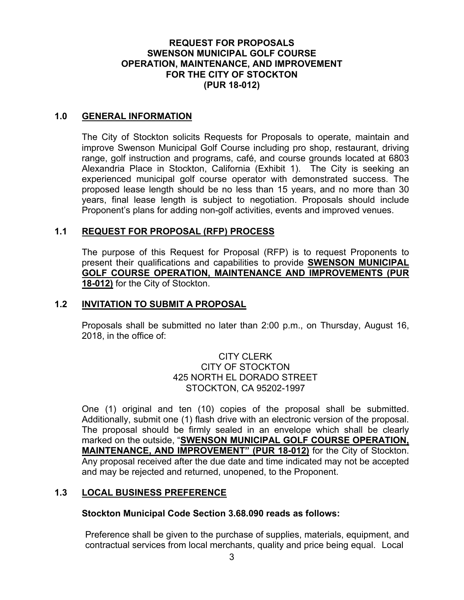#### **1.0 GENERAL INFORMATION**

The City of Stockton solicits Requests for Proposals to operate, maintain and improve Swenson Municipal Golf Course including pro shop, restaurant, driving range, golf instruction and programs, café, and course grounds located at 6803 Alexandria Place in Stockton, California (Exhibit 1). The City is seeking an experienced municipal golf course operator with demonstrated success. The proposed lease length should be no less than 15 years, and no more than 30 years, final lease length is subject to negotiation. Proposals should include Proponent's plans for adding non-golf activities, events and improved venues.

#### **1.1 REQUEST FOR PROPOSAL (RFP) PROCESS**

The purpose of this Request for Proposal (RFP) is to request Proponents to present their qualifications and capabilities to provide **SWENSON MUNICIPAL GOLF COURSE OPERATION, MAINTENANCE AND IMPROVEMENTS (PUR 18-012)** for the City of Stockton.

#### **1.2 INVITATION TO SUBMIT A PROPOSAL**

Proposals shall be submitted no later than 2:00 p.m., on Thursday, August 16, 2018, in the office of:

#### CITY CLERK CITY OF STOCKTON 425 NORTH EL DORADO STREET STOCKTON, CA 95202-1997

One (1) original and ten (10) copies of the proposal shall be submitted. Additionally, submit one (1) flash drive with an electronic version of the proposal. The proposal should be firmly sealed in an envelope which shall be clearly marked on the outside, "**SWENSON MUNICIPAL GOLF COURSE OPERATION, MAINTENANCE, AND IMPROVEMENT" (PUR 18-012)** for the City of Stockton. Any proposal received after the due date and time indicated may not be accepted and may be rejected and returned, unopened, to the Proponent.

#### **1.3 LOCAL BUSINESS PREFERENCE**

#### **Stockton Municipal Code Section 3.68.090 reads as follows:**

Preference shall be given to the purchase of supplies, materials, equipment, and contractual services from local merchants, quality and price being equal. Local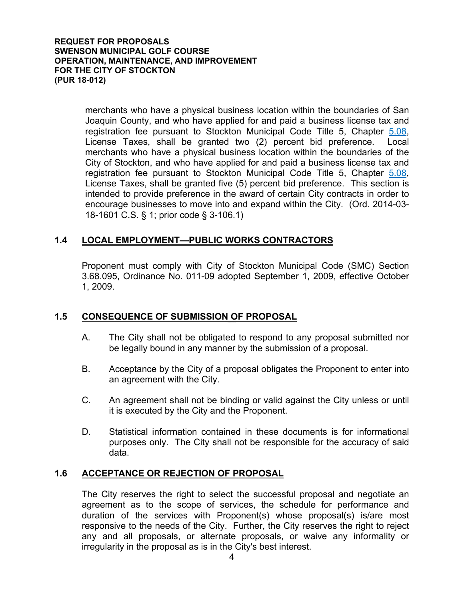merchants who have a physical business location within the boundaries of San Joaquin County, and who have applied for and paid a business license tax and registration fee pursuant to Stockton Municipal Code Title 5, Chapter 5.08, License Taxes, shall be granted two (2) percent bid preference. Local merchants who have a physical business location within the boundaries of the City of Stockton, and who have applied for and paid a business license tax and registration fee pursuant to Stockton Municipal Code Title 5, Chapter 5.08, License Taxes, shall be granted five (5) percent bid preference. This section is intended to provide preference in the award of certain City contracts in order to encourage businesses to move into and expand within the City. (Ord. 2014-03- 18-1601 C.S. § 1; prior code § 3-106.1)

#### **1.4 LOCAL EMPLOYMENT—PUBLIC WORKS CONTRACTORS**

Proponent must comply with City of Stockton Municipal Code (SMC) Section 3.68.095, Ordinance No. 011-09 adopted September 1, 2009, effective October 1, 2009.

#### **1.5 CONSEQUENCE OF SUBMISSION OF PROPOSAL**

- A. The City shall not be obligated to respond to any proposal submitted nor be legally bound in any manner by the submission of a proposal.
- B. Acceptance by the City of a proposal obligates the Proponent to enter into an agreement with the City.
- C. An agreement shall not be binding or valid against the City unless or until it is executed by the City and the Proponent.
- D. Statistical information contained in these documents is for informational purposes only. The City shall not be responsible for the accuracy of said data.

#### **1.6 ACCEPTANCE OR REJECTION OF PROPOSAL**

The City reserves the right to select the successful proposal and negotiate an agreement as to the scope of services, the schedule for performance and duration of the services with Proponent(s) whose proposal(s) is/are most responsive to the needs of the City. Further, the City reserves the right to reject any and all proposals, or alternate proposals, or waive any informality or irregularity in the proposal as is in the City's best interest.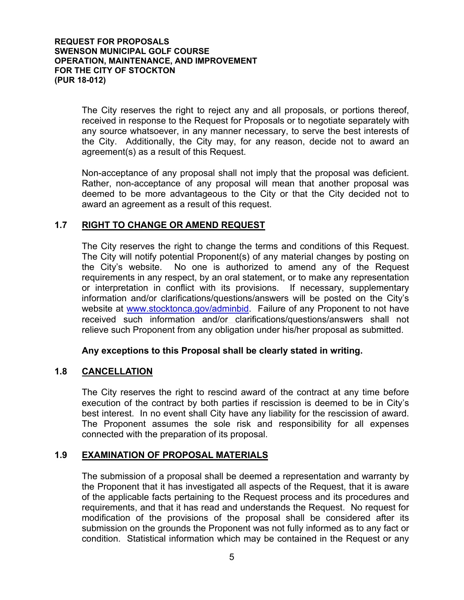The City reserves the right to reject any and all proposals, or portions thereof, received in response to the Request for Proposals or to negotiate separately with any source whatsoever, in any manner necessary, to serve the best interests of the City. Additionally, the City may, for any reason, decide not to award an agreement(s) as a result of this Request.

Non-acceptance of any proposal shall not imply that the proposal was deficient. Rather, non-acceptance of any proposal will mean that another proposal was deemed to be more advantageous to the City or that the City decided not to award an agreement as a result of this request.

#### **1.7 RIGHT TO CHANGE OR AMEND REQUEST**

The City reserves the right to change the terms and conditions of this Request. The City will notify potential Proponent(s) of any material changes by posting on the City's website. No one is authorized to amend any of the Request requirements in any respect, by an oral statement, or to make any representation or interpretation in conflict with its provisions. If necessary, supplementary information and/or clarifications/questions/answers will be posted on the City's website at www.stocktonca.gov/adminbid. Failure of any Proponent to not have received such information and/or clarifications/questions/answers shall not relieve such Proponent from any obligation under his/her proposal as submitted.

#### **Any exceptions to this Proposal shall be clearly stated in writing.**

#### **1.8 CANCELLATION**

The City reserves the right to rescind award of the contract at any time before execution of the contract by both parties if rescission is deemed to be in City's best interest. In no event shall City have any liability for the rescission of award. The Proponent assumes the sole risk and responsibility for all expenses connected with the preparation of its proposal.

#### **1.9 EXAMINATION OF PROPOSAL MATERIALS**

The submission of a proposal shall be deemed a representation and warranty by the Proponent that it has investigated all aspects of the Request, that it is aware of the applicable facts pertaining to the Request process and its procedures and requirements, and that it has read and understands the Request. No request for modification of the provisions of the proposal shall be considered after its submission on the grounds the Proponent was not fully informed as to any fact or condition. Statistical information which may be contained in the Request or any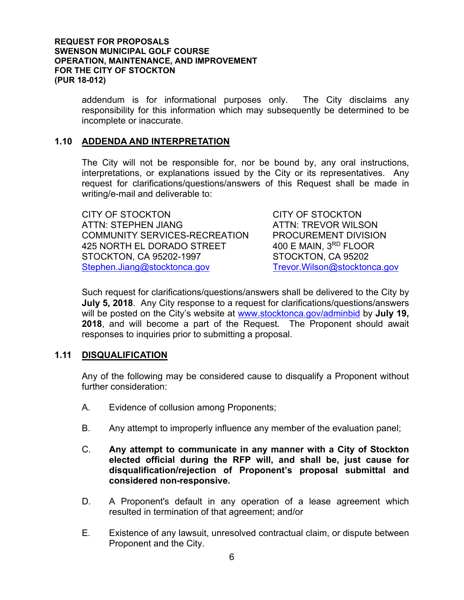addendum is for informational purposes only. The City disclaims any responsibility for this information which may subsequently be determined to be incomplete or inaccurate.

#### **1.10 ADDENDA AND INTERPRETATION**

The City will not be responsible for, nor be bound by, any oral instructions, interpretations, or explanations issued by the City or its representatives. Any request for clarifications/questions/answers of this Request shall be made in writing/e-mail and deliverable to:

CITY OF STOCKTON CITY OF STOCKTON ATTN: STEPHEN JIANG ATTN: TREVOR WILSON COMMUNITY SERVICES-RECREATION PROCUREMENT DIVISION 425 NORTH EL DORADO STREET 400 E MAIN, 3RD FLOOR STOCKTON, CA 95202-1997 STOCKTON, CA 95202 Stephen.Jiang@stocktonca.gov Trevor.Wilson@stocktonca.gov

2018, and will become a part of the Request. The Proponent should await Such request for clarifications/questions/answers shall be delivered to the City by **July 5, 2018**. Any City response to a request for clarifications/questions/answers will be posted on the City's website at www.stocktonca.gov/adminbid by **July 19,**  responses to inquiries prior to submitting a proposal.

#### **1.11 DISQUALIFICATION**

Any of the following may be considered cause to disqualify a Proponent without further consideration:

- A. Evidence of collusion among Proponents;
- B. Any attempt to improperly influence any member of the evaluation panel;
- C. **Any attempt to communicate in any manner with a City of Stockton elected official during the RFP will, and shall be, just cause for disqualification/rejection of Proponent's proposal submittal and considered non-responsive.**
- D. A Proponent's default in any operation of a lease agreement which resulted in termination of that agreement; and/or
- E. Existence of any lawsuit, unresolved contractual claim, or dispute between Proponent and the City.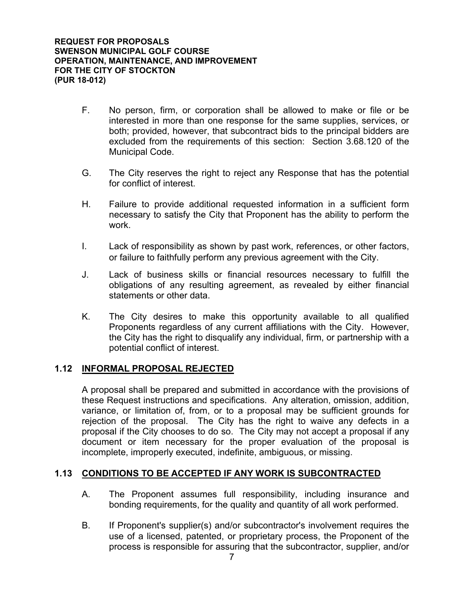- F. No person, firm, or corporation shall be allowed to make or file or be interested in more than one response for the same supplies, services, or both; provided, however, that subcontract bids to the principal bidders are excluded from the requirements of this section: Section 3.68.120 of the Municipal Code.
- G. The City reserves the right to reject any Response that has the potential for conflict of interest.
- H. Failure to provide additional requested information in a sufficient form necessary to satisfy the City that Proponent has the ability to perform the work.
- I. Lack of responsibility as shown by past work, references, or other factors, or failure to faithfully perform any previous agreement with the City.
- J. Lack of business skills or financial resources necessary to fulfill the obligations of any resulting agreement, as revealed by either financial statements or other data.
- Proponents regardless of any current affiliations with the City. However, K. The City desires to make this opportunity available to all qualified the City has the right to disqualify any individual, firm, or partnership with a potential conflict of interest.

#### **1.12 INFORMAL PROPOSAL REJECTED**

A proposal shall be prepared and submitted in accordance with the provisions of these Request instructions and specifications. Any alteration, omission, addition, variance, or limitation of, from, or to a proposal may be sufficient grounds for rejection of the proposal. The City has the right to waive any defects in a proposal if the City chooses to do so. The City may not accept a proposal if any document or item necessary for the proper evaluation of the proposal is incomplete, improperly executed, indefinite, ambiguous, or missing.

#### **1.13 CONDITIONS TO BE ACCEPTED IF ANY WORK IS SUBCONTRACTED**

- A. The Proponent assumes full responsibility, including insurance and bonding requirements, for the quality and quantity of all work performed.
- B. If Proponent's supplier(s) and/or subcontractor's involvement requires the use of a licensed, patented, or proprietary process, the Proponent of the process is responsible for assuring that the subcontractor, supplier, and/or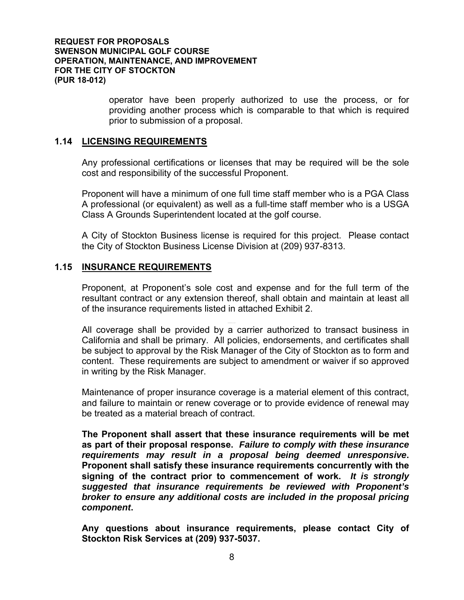operator have been properly authorized to use the process, or for providing another process which is comparable to that which is required prior to submission of a proposal.

#### **1.14 LICENSING REQUIREMENTS**

Any professional certifications or licenses that may be required will be the sole cost and responsibility of the successful Proponent.

Proponent will have a minimum of one full time staff member who is a PGA Class A professional (or equivalent) as well as a full-time staff member who is a USGA Class A Grounds Superintendent located at the golf course.

A City of Stockton Business license is required for this project. Please contact the City of Stockton Business License Division at (209) 937-8313.

#### **1.15 INSURANCE REQUIREMENTS**

Proponent, at Proponent's sole cost and expense and for the full term of the resultant contract or any extension thereof, shall obtain and maintain at least all of the insurance requirements listed in attached Exhibit 2.

All coverage shall be provided by a carrier authorized to transact business in California and shall be primary. All policies, endorsements, and certificates shall be subject to approval by the Risk Manager of the City of Stockton as to form and content. These requirements are subject to amendment or waiver if so approved in writing by the Risk Manager.

Maintenance of proper insurance coverage is a material element of this contract, and failure to maintain or renew coverage or to provide evidence of renewal may be treated as a material breach of contract.

**The Proponent shall assert that these insurance requirements will be met as part of their proposal response.** *Failure to comply with these insurance requirements may result in a proposal being deemed unresponsive***. Proponent shall satisfy these insurance requirements concurrently with the signing of the contract prior to commencement of work.** *It is strongly suggested that insurance requirements be reviewed with Proponent's broker to ensure any additional costs are included in the proposal pricing component***.** 

**Any questions about insurance requirements, please contact City of Stockton Risk Services at (209) 937-5037.**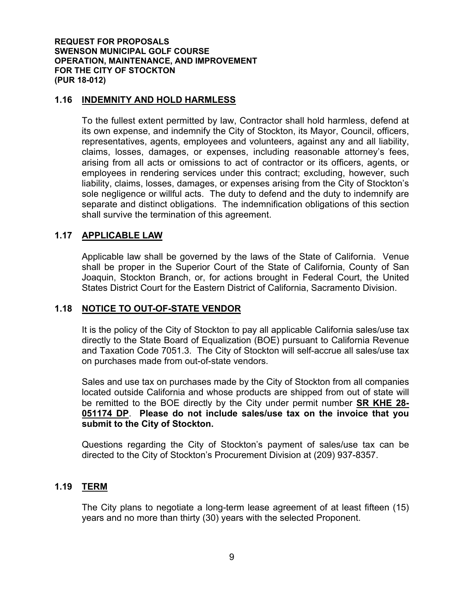#### **1.16 INDEMNITY AND HOLD HARMLESS**

To the fullest extent permitted by law, Contractor shall hold harmless, defend at its own expense, and indemnify the City of Stockton, its Mayor, Council, officers, representatives, agents, employees and volunteers, against any and all liability, claims, losses, damages, or expenses, including reasonable attorney's fees, arising from all acts or omissions to act of contractor or its officers, agents, or employees in rendering services under this contract; excluding, however, such liability, claims, losses, damages, or expenses arising from the City of Stockton's sole negligence or willful acts. The duty to defend and the duty to indemnify are separate and distinct obligations. The indemnification obligations of this section shall survive the termination of this agreement.

#### **1.17 APPLICABLE LAW**

Applicable law shall be governed by the laws of the State of California. Venue shall be proper in the Superior Court of the State of California, County of San Joaquin, Stockton Branch, or, for actions brought in Federal Court, the United States District Court for the Eastern District of California, Sacramento Division.

#### **1.18 NOTICE TO OUT-OF-STATE VENDOR**

It is the policy of the City of Stockton to pay all applicable California sales/use tax directly to the State Board of Equalization (BOE) pursuant to California Revenue and Taxation Code 7051.3. The City of Stockton will self-accrue all sales/use tax on purchases made from out-of-state vendors.

Sales and use tax on purchases made by the City of Stockton from all companies located outside California and whose products are shipped from out of state will be remitted to the BOE directly by the City under permit number **SR KHE 28- 051174 DP**. **Please do not include sales/use tax on the invoice that you submit to the City of Stockton.**

Questions regarding the City of Stockton's payment of sales/use tax can be directed to the City of Stockton's Procurement Division at (209) 937-8357.

#### **1.19 TERM**

The City plans to negotiate a long-term lease agreement of at least fifteen (15) years and no more than thirty (30) years with the selected Proponent.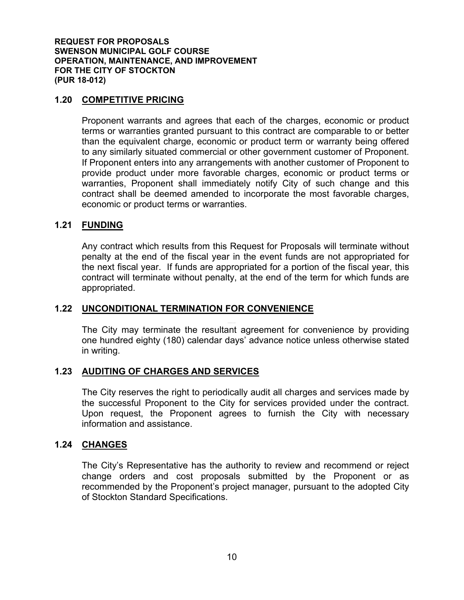#### **1.20 COMPETITIVE PRICING**

Proponent warrants and agrees that each of the charges, economic or product terms or warranties granted pursuant to this contract are comparable to or better than the equivalent charge, economic or product term or warranty being offered to any similarly situated commercial or other government customer of Proponent. If Proponent enters into any arrangements with another customer of Proponent to provide product under more favorable charges, economic or product terms or warranties, Proponent shall immediately notify City of such change and this contract shall be deemed amended to incorporate the most favorable charges, economic or product terms or warranties.

#### **1.21 FUNDING**

Any contract which results from this Request for Proposals will terminate without penalty at the end of the fiscal year in the event funds are not appropriated for the next fiscal year. If funds are appropriated for a portion of the fiscal year, this contract will terminate without penalty, at the end of the term for which funds are appropriated.

#### **1.22 UNCONDITIONAL TERMINATION FOR CONVENIENCE**

The City may terminate the resultant agreement for convenience by providing one hundred eighty (180) calendar days' advance notice unless otherwise stated in writing.

#### **1.23 AUDITING OF CHARGES AND SERVICES**

The City reserves the right to periodically audit all charges and services made by the successful Proponent to the City for services provided under the contract. Upon request, the Proponent agrees to furnish the City with necessary information and assistance.

#### **1.24 CHANGES**

The City's Representative has the authority to review and recommend or reject change orders and cost proposals submitted by the Proponent or as recommended by the Proponent's project manager, pursuant to the adopted City of Stockton Standard Specifications.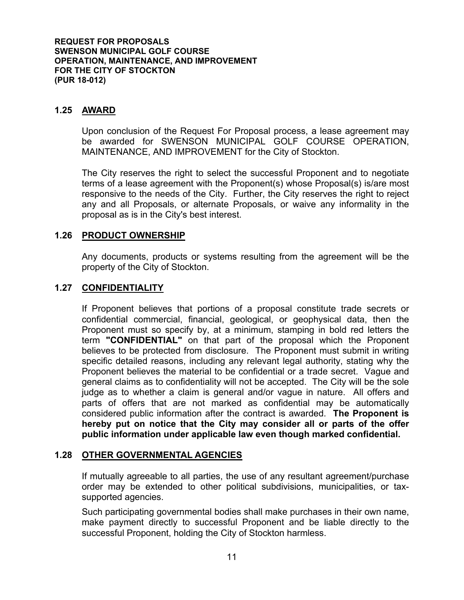#### **1.25 AWARD**

Upon conclusion of the Request For Proposal process, a lease agreement may be awarded for SWENSON MUNICIPAL GOLF COURSE OPERATION, MAINTENANCE, AND IMPROVEMENT for the City of Stockton.

The City reserves the right to select the successful Proponent and to negotiate terms of a lease agreement with the Proponent(s) whose Proposal(s) is/are most responsive to the needs of the City. Further, the City reserves the right to reject any and all Proposals, or alternate Proposals, or waive any informality in the proposal as is in the City's best interest.

#### **1.26 PRODUCT OWNERSHIP**

Any documents, products or systems resulting from the agreement will be the property of the City of Stockton.

#### **1.27 CONFIDENTIALITY**

confidential commercial, financial, geological, or geophysical data, then the If Proponent believes that portions of a proposal constitute trade secrets or Proponent must so specify by, at a minimum, stamping in bold red letters the term **"CONFIDENTIAL"** on that part of the proposal which the Proponent believes to be protected from disclosure. The Proponent must submit in writing specific detailed reasons, including any relevant legal authority, stating why the Proponent believes the material to be confidential or a trade secret. Vague and general claims as to confidentiality will not be accepted. The City will be the sole judge as to whether a claim is general and/or vague in nature. All offers and parts of offers that are not marked as confidential may be automatically considered public information after the contract is awarded. **The Proponent is hereby put on notice that the City may consider all or parts of the offer public information under applicable law even though marked confidential.** 

#### **1.28 OTHER GOVERNMENTAL AGENCIES**

If mutually agreeable to all parties, the use of any resultant agreement/purchase order may be extended to other political subdivisions, municipalities, or taxsupported agencies.

Such participating governmental bodies shall make purchases in their own name, make payment directly to successful Proponent and be liable directly to the successful Proponent, holding the City of Stockton harmless.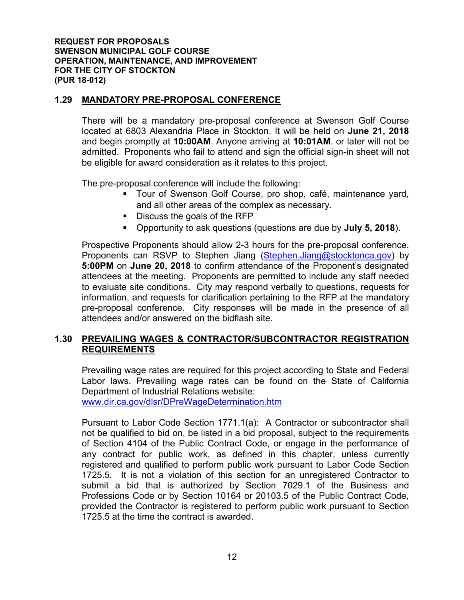#### **1.29 MANDATORY PRE-PROPOSAL CONFERENCE**

There will be a mandatory pre-proposal conference at Swenson Golf Course located at 6803 Alexandria Place in Stockton. It will be held on **June 21, 2018** and begin promptly at **10:00AM**. Anyone arriving at **10:01AM**. or later will not be admitted. Proponents who fail to attend and sign the official sign-in sheet will not be eligible for award consideration as it relates to this project.

The pre-proposal conference will include the following:

- Tour of Swenson Golf Course, pro shop, café, maintenance yard, and all other areas of the complex as necessary.
- Discuss the goals of the RFP
- Opportunity to ask questions (questions are due by **July 5, 2018**).

Prospective Proponents should allow 2-3 hours for the pre-proposal conference. Proponents can RSVP to Stephen Jiang (Stephen.Jiang@stocktonca.gov) by **5:00PM** on **June 20, 2018** to confirm attendance of the Proponent's designated attendees at the meeting. Proponents are permitted to include any staff needed to evaluate site conditions. City may respond verbally to questions, requests for information, and requests for clarification pertaining to the RFP at the mandatory pre-proposal conference. City responses will be made in the presence of all attendees and/or answered on the bidflash site.

#### **1.30 PREVAILING WAGES & CONTRACTOR/SUBCONTRACTOR REGISTRATION REQUIREMENTS**

Prevailing wage rates are required for this project according to State and Federal Labor laws. Prevailing wage rates can be found on the State of California Department of Industrial Relations website:

www.dir.ca.gov/dlsr/DPreWageDetermination.htm

Pursuant to Labor Code Section 1771.1(a): A Contractor or subcontractor shall not be qualified to bid on, be listed in a bid proposal, subject to the requirements of Section 4104 of the Public Contract Code, or engage in the performance of any contract for public work, as defined in this chapter, unless currently registered and qualified to perform public work pursuant to Labor Code Section 1725.5. It is not a violation of this section for an unregistered Contractor to submit a bid that is authorized by Section 7029.1 of the Business and Professions Code or by Section 10164 or 20103.5 of the Public Contract Code, provided the Contractor is registered to perform public work pursuant to Section 1725.5 at the time the contract is awarded.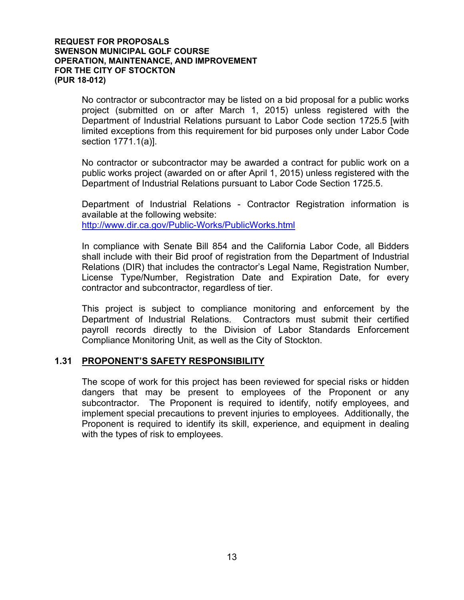No contractor or subcontractor may be listed on a bid proposal for a public works project (submitted on or after March 1, 2015) unless registered with the Department of Industrial Relations pursuant to Labor Code section 1725.5 [with limited exceptions from this requirement for bid purposes only under Labor Code section 1771.1(a)].

No contractor or subcontractor may be awarded a contract for public work on a public works project (awarded on or after April 1, 2015) unless registered with the Department of Industrial Relations pursuant to Labor Code Section 1725.5.

Department of Industrial Relations - Contractor Registration information is available at the following website: http://www.dir.ca.gov/Public-Works/PublicWorks.html

In compliance with Senate Bill 854 and the California Labor Code, all Bidders shall include with their Bid proof of registration from the Department of Industrial Relations (DIR) that includes the contractor's Legal Name, Registration Number, License Type/Number, Registration Date and Expiration Date, for every contractor and subcontractor, regardless of tier.

This project is subject to compliance monitoring and enforcement by the Department of Industrial Relations. Contractors must submit their certified payroll records directly to the Division of Labor Standards Enforcement Compliance Monitoring Unit, as well as the City of Stockton.

#### **1.31 PROPONENT'S SAFETY RESPONSIBILITY**

The scope of work for this project has been reviewed for special risks or hidden dangers that may be present to employees of the Proponent or any subcontractor. The Proponent is required to identify, notify employees, and implement special precautions to prevent injuries to employees. Additionally, the Proponent is required to identify its skill, experience, and equipment in dealing with the types of risk to employees.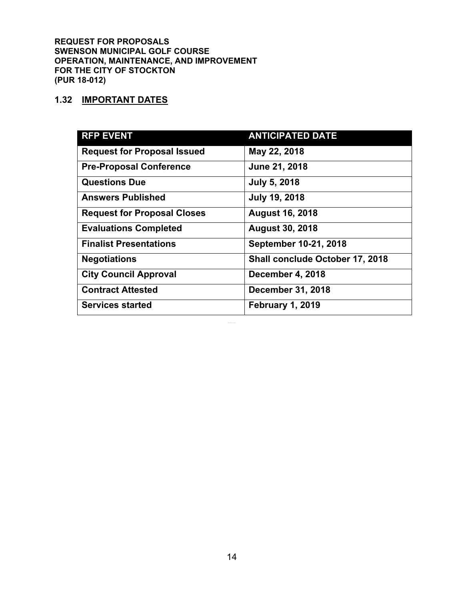#### **1.32 IMPORTANT DATES**

| <b>RFP EVENT</b>                   | <b>ANTICIPATED DATE</b>                |
|------------------------------------|----------------------------------------|
| <b>Request for Proposal Issued</b> | May 22, 2018                           |
| <b>Pre-Proposal Conference</b>     | June 21, 2018                          |
| <b>Questions Due</b>               | <b>July 5, 2018</b>                    |
| <b>Answers Published</b>           | <b>July 19, 2018</b>                   |
| <b>Request for Proposal Closes</b> | <b>August 16, 2018</b>                 |
| <b>Evaluations Completed</b>       | <b>August 30, 2018</b>                 |
| <b>Finalist Presentations</b>      | September 10-21, 2018                  |
| <b>Negotiations</b>                | <b>Shall conclude October 17, 2018</b> |
| <b>City Council Approval</b>       | December 4, 2018                       |
| <b>Contract Attested</b>           | <b>December 31, 2018</b>               |
| <b>Services started</b>            | February 1, 2019                       |

CONFIDENTIAL DRAFT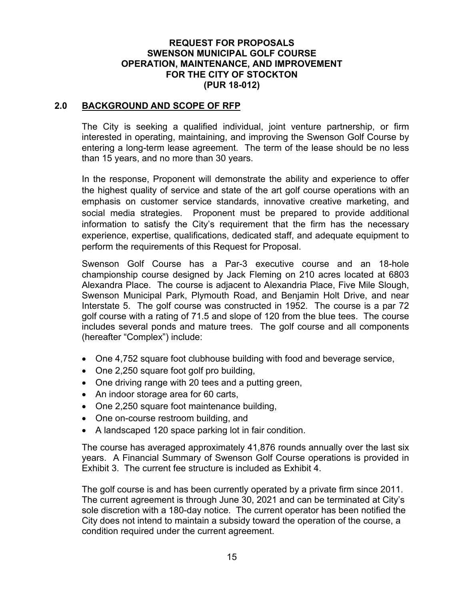#### **2.0 BACKGROUND AND SCOPE OF RFP**

The City is seeking a qualified individual, joint venture partnership, or firm interested in operating, maintaining, and improving the Swenson Golf Course by entering a long-term lease agreement. The term of the lease should be no less than 15 years, and no more than 30 years.

In the response, Proponent will demonstrate the ability and experience to offer the highest quality of service and state of the art golf course operations with an emphasis on customer service standards, innovative creative marketing, and social media strategies. Proponent must be prepared to provide additional information to satisfy the City's requirement that the firm has the necessary experience, expertise, qualifications, dedicated staff, and adequate equipment to perform the requirements of this Request for Proposal.

includes several ponds and mature trees. The golf course and all components Swenson Golf Course has a Par-3 executive course and an 18-hole championship course designed by Jack Fleming on 210 acres located at 6803 Alexandra Place. The course is adjacent to Alexandria Place, Five Mile Slough, Swenson Municipal Park, Plymouth Road, and Benjamin Holt Drive, and near Interstate 5. The golf course was constructed in 1952. The course is a par 72 golf course with a rating of 71.5 and slope of 120 from the blue tees. The course (hereafter "Complex") include:

- One 4,752 square foot clubhouse building with food and beverage service,
- One 2,250 square foot golf pro building,
- One driving range with 20 tees and a putting green,
- An indoor storage area for 60 carts,
- One 2,250 square foot maintenance building,
- One on-course restroom building, and
- A landscaped 120 space parking lot in fair condition.

The course has averaged approximately 41,876 rounds annually over the last six years. A Financial Summary of Swenson Golf Course operations is provided in Exhibit 3. The current fee structure is included as Exhibit 4.

The golf course is and has been currently operated by a private firm since 2011. The current agreement is through June 30, 2021 and can be terminated at City's sole discretion with a 180-day notice. The current operator has been notified the City does not intend to maintain a subsidy toward the operation of the course, a condition required under the current agreement.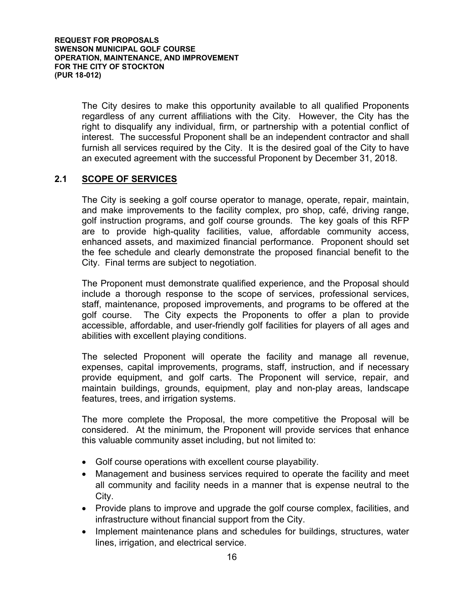The City desires to make this opportunity available to all qualified Proponents regardless of any current affiliations with the City. However, the City has the right to disqualify any individual, firm, or partnership with a potential conflict of interest. The successful Proponent shall be an independent contractor and shall furnish all services required by the City. It is the desired goal of the City to have an executed agreement with the successful Proponent by December 31, 2018.

#### **2.1 SCOPE OF SERVICES**

The City is seeking a golf course operator to manage, operate, repair, maintain, and make improvements to the facility complex, pro shop, café, driving range, golf instruction programs, and golf course grounds. The key goals of this RFP are to provide high-quality facilities, value, affordable community access, enhanced assets, and maximized financial performance. Proponent should set the fee schedule and clearly demonstrate the proposed financial benefit to the City. Final terms are subject to negotiation.

accessible, affordable, and user-friendly golf facilities for players of all ages and The Proponent must demonstrate qualified experience, and the Proposal should include a thorough response to the scope of services, professional services, staff, maintenance, proposed improvements, and programs to be offered at the golf course. The City expects the Proponents to offer a plan to provide abilities with excellent playing conditions.

The selected Proponent will operate the facility and manage all revenue, expenses, capital improvements, programs, staff, instruction, and if necessary provide equipment, and golf carts. The Proponent will service, repair, and maintain buildings, grounds, equipment, play and non-play areas, landscape features, trees, and irrigation systems.

The more complete the Proposal, the more competitive the Proposal will be considered. At the minimum, the Proponent will provide services that enhance this valuable community asset including, but not limited to:

- Golf course operations with excellent course playability.
- Management and business services required to operate the facility and meet all community and facility needs in a manner that is expense neutral to the City.
- Provide plans to improve and upgrade the golf course complex, facilities, and infrastructure without financial support from the City.
- Implement maintenance plans and schedules for buildings, structures, water lines, irrigation, and electrical service.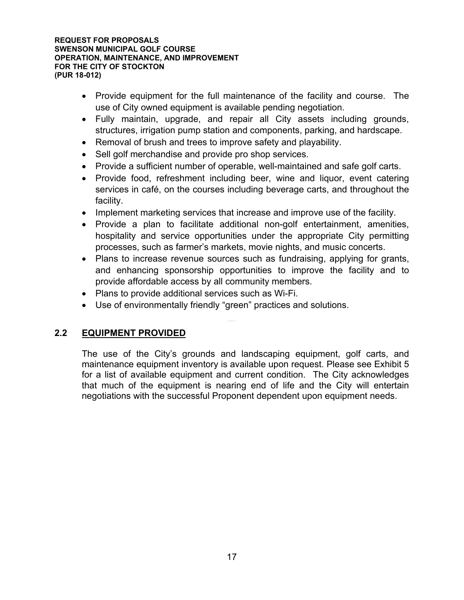- Provide equipment for the full maintenance of the facility and course. The use of City owned equipment is available pending negotiation.
- Fully maintain, upgrade, and repair all City assets including grounds, structures, irrigation pump station and components, parking, and hardscape.
- Removal of brush and trees to improve safety and playability.
- Sell golf merchandise and provide pro shop services.
- Provide a sufficient number of operable, well-maintained and safe golf carts.
- Provide food, refreshment including beer, wine and liquor, event catering services in café, on the courses including beverage carts, and throughout the facility.
- Implement marketing services that increase and improve use of the facility.
- Provide a plan to facilitate additional non-golf entertainment, amenities, hospitality and service opportunities under the appropriate City permitting processes, such as farmer's markets, movie nights, and music concerts.
- Plans to increase revenue sources such as fundraising, applying for grants, and enhancing sponsorship opportunities to improve the facility and to provide affordable access by all community members.
- Plans to provide additional services such as Wi-Fi.
- Use of environmentally friendly "green" practices and solutions.

#### **2.2 EQUIPMENT PROVIDED**

The use of the City's grounds and landscaping equipment, golf carts, and maintenance equipment inventory is available upon request. Please see Exhibit 5 for a list of available equipment and current condition. The City acknowledges that much of the equipment is nearing end of life and the City will entertain negotiations with the successful Proponent dependent upon equipment needs.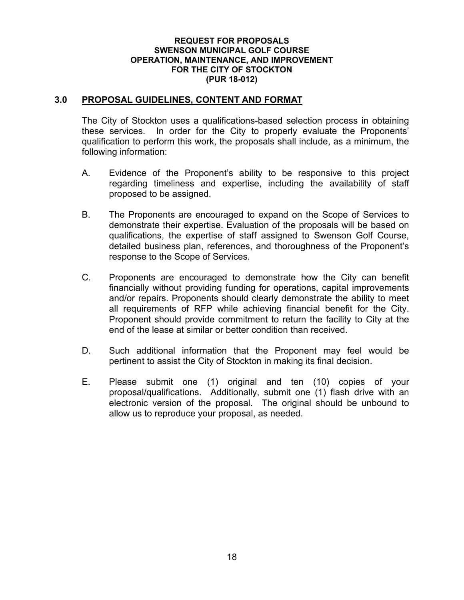#### **3.0 PROPOSAL GUIDELINES, CONTENT AND FORMAT**

The City of Stockton uses a qualifications-based selection process in obtaining these services. In order for the City to properly evaluate the Proponents' qualification to perform this work, the proposals shall include, as a minimum, the following information:

- A. Evidence of the Proponent's ability to be responsive to this project regarding timeliness and expertise, including the availability of staff proposed to be assigned.
- B. The Proponents are encouraged to expand on the Scope of Services to demonstrate their expertise. Evaluation of the proposals will be based on qualifications, the expertise of staff assigned to Swenson Golf Course, detailed business plan, references, and thoroughness of the Proponent's response to the Scope of Services.
- C. Proponents are encouraged to demonstrate how the City can benefit financially without providing funding for operations, capital improvements and/or repairs. Proponents should clearly demonstrate the ability to meet all requirements of RFP while achieving financial benefit for the City. Proponent should provide commitment to return the facility to City at the end of the lease at similar or better condition than received.
- D. Such additional information that the Proponent may feel would be pertinent to assist the City of Stockton in making its final decision.
- E. Please submit one (1) original and ten (10) copies of your proposal/qualifications. Additionally, submit one (1) flash drive with an electronic version of the proposal. The original should be unbound to allow us to reproduce your proposal, as needed.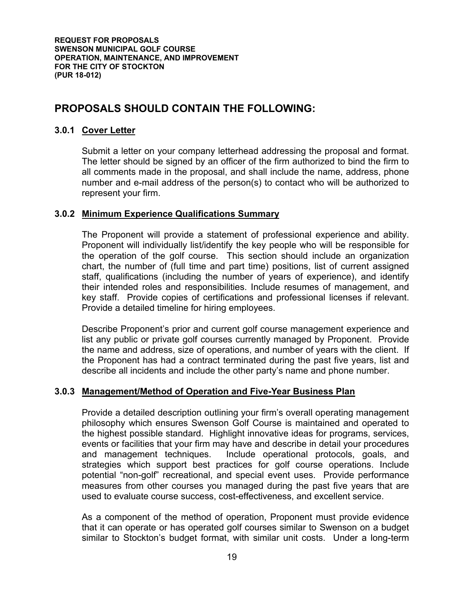### **PROPOSALS SHOULD CONTAIN THE FOLLOWING:**

#### **3.0.1 Cover Letter**

Submit a letter on your company letterhead addressing the proposal and format. The letter should be signed by an officer of the firm authorized to bind the firm to all comments made in the proposal, and shall include the name, address, phone number and e-mail address of the person(s) to contact who will be authorized to represent your firm.

#### **3.0.2 Minimum Experience Qualifications Summary**

The Proponent will provide a statement of professional experience and ability. Proponent will individually list/identify the key people who will be responsible for the operation of the golf course. This section should include an organization chart, the number of (full time and part time) positions, list of current assigned staff, qualifications (including the number of years of experience), and identify their intended roles and responsibilities. Include resumes of management, and key staff. Provide copies of certifications and professional licenses if relevant. Provide a detailed timeline for hiring employees.

Describe Proponent's prior and current golf course management experience and list any public or private golf courses currently managed by Proponent. Provide the name and address, size of operations, and number of years with the client. If the Proponent has had a contract terminated during the past five years, list and describe all incidents and include the other party's name and phone number.

#### **3.0.3 Management/Method of Operation and Five-Year Business Plan**

Provide a detailed description outlining your firm's overall operating management philosophy which ensures Swenson Golf Course is maintained and operated to the highest possible standard. Highlight innovative ideas for programs, services, events or facilities that your firm may have and describe in detail your procedures and management techniques. Include operational protocols, goals, and strategies which support best practices for golf course operations. Include potential "non-golf" recreational, and special event uses. Provide performance measures from other courses you managed during the past five years that are used to evaluate course success, cost-effectiveness, and excellent service.

As a component of the method of operation, Proponent must provide evidence that it can operate or has operated golf courses similar to Swenson on a budget similar to Stockton's budget format, with similar unit costs. Under a long-term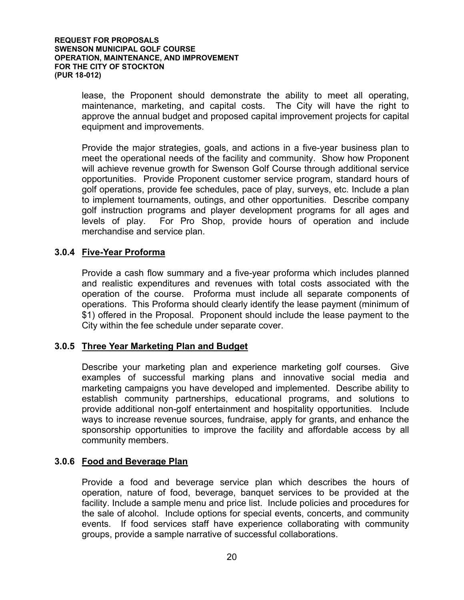lease, the Proponent should demonstrate the ability to meet all operating, maintenance, marketing, and capital costs. The City will have the right to approve the annual budget and proposed capital improvement projects for capital equipment and improvements.

Provide the major strategies, goals, and actions in a five-year business plan to meet the operational needs of the facility and community. Show how Proponent will achieve revenue growth for Swenson Golf Course through additional service opportunities. Provide Proponent customer service program, standard hours of golf operations, provide fee schedules, pace of play, surveys, etc. Include a plan to implement tournaments, outings, and other opportunities. Describe company golf instruction programs and player development programs for all ages and levels of play. For Pro Shop, provide hours of operation and include merchandise and service plan.

#### **3.0.4 Five-Year Proforma**

City within the fee schedule under separate cover. Provide a cash flow summary and a five-year proforma which includes planned and realistic expenditures and revenues with total costs associated with the operation of the course. Proforma must include all separate components of operations. This Proforma should clearly identify the lease payment (minimum of \$1) offered in the Proposal. Proponent should include the lease payment to the

#### **3.0.5 Three Year Marketing Plan and Budget**

Describe your marketing plan and experience marketing golf courses. Give examples of successful marking plans and innovative social media and marketing campaigns you have developed and implemented. Describe ability to establish community partnerships, educational programs, and solutions to provide additional non-golf entertainment and hospitality opportunities. Include ways to increase revenue sources, fundraise, apply for grants, and enhance the sponsorship opportunities to improve the facility and affordable access by all community members.

#### **3.0.6 Food and Beverage Plan**

Provide a food and beverage service plan which describes the hours of operation, nature of food, beverage, banquet services to be provided at the facility. Include a sample menu and price list. Include policies and procedures for the sale of alcohol. Include options for special events, concerts, and community events. If food services staff have experience collaborating with community groups, provide a sample narrative of successful collaborations.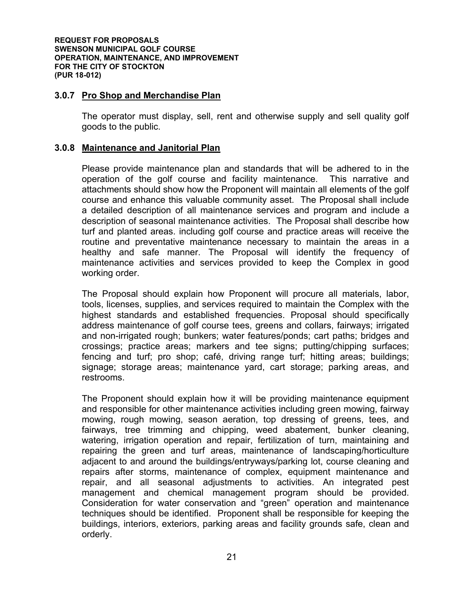#### **3.0.7 Pro Shop and Merchandise Plan**

The operator must display, sell, rent and otherwise supply and sell quality golf goods to the public.

#### **3.0.8 Maintenance and Janitorial Plan**

Please provide maintenance plan and standards that will be adhered to in the operation of the golf course and facility maintenance. This narrative and attachments should show how the Proponent will maintain all elements of the golf course and enhance this valuable community asset. The Proposal shall include a detailed description of all maintenance services and program and include a description of seasonal maintenance activities. The Proposal shall describe how turf and planted areas. including golf course and practice areas will receive the routine and preventative maintenance necessary to maintain the areas in a healthy and safe manner. The Proposal will identify the frequency of maintenance activities and services provided to keep the Complex in good working order.

address maintenance of golf course tees, greens and collars, fairways; irrigated The Proposal should explain how Proponent will procure all materials, labor, tools, licenses, supplies, and services required to maintain the Complex with the highest standards and established frequencies. Proposal should specifically and non-irrigated rough; bunkers; water features/ponds; cart paths; bridges and crossings; practice areas; markers and tee signs; putting/chipping surfaces; fencing and turf; pro shop; café, driving range turf; hitting areas; buildings; signage; storage areas; maintenance yard, cart storage; parking areas, and restrooms.

The Proponent should explain how it will be providing maintenance equipment and responsible for other maintenance activities including green mowing, fairway mowing, rough mowing, season aeration, top dressing of greens, tees, and fairways, tree trimming and chipping, weed abatement, bunker cleaning, watering, irrigation operation and repair, fertilization of turn, maintaining and repairing the green and turf areas, maintenance of landscaping/horticulture adjacent to and around the buildings/entryways/parking lot, course cleaning and repairs after storms, maintenance of complex, equipment maintenance and repair, and all seasonal adjustments to activities. An integrated pest management and chemical management program should be provided. Consideration for water conservation and "green" operation and maintenance techniques should be identified. Proponent shall be responsible for keeping the buildings, interiors, exteriors, parking areas and facility grounds safe, clean and orderly.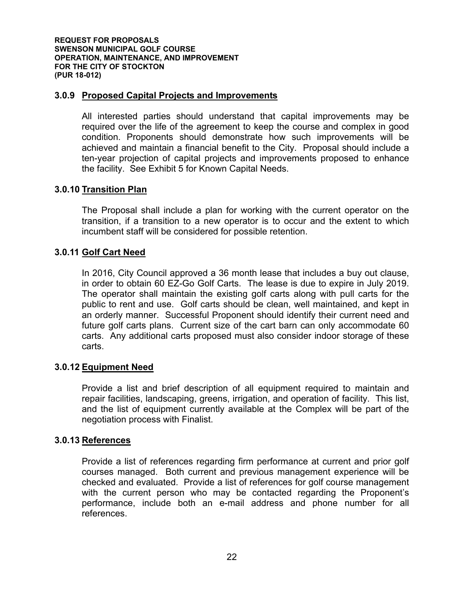#### **3.0.9 Proposed Capital Projects and Improvements**

All interested parties should understand that capital improvements may be required over the life of the agreement to keep the course and complex in good condition. Proponents should demonstrate how such improvements will be achieved and maintain a financial benefit to the City. Proposal should include a ten-year projection of capital projects and improvements proposed to enhance the facility. See Exhibit 5 for Known Capital Needs.

#### **3.0.10 Transition Plan**

The Proposal shall include a plan for working with the current operator on the transition, if a transition to a new operator is to occur and the extent to which incumbent staff will be considered for possible retention.

#### **3.0.11 Golf Cart Need**

future golf carts plans. Current size of the cart barn can only accommodate 60 In 2016, City Council approved a 36 month lease that includes a buy out clause, in order to obtain 60 EZ-Go Golf Carts. The lease is due to expire in July 2019. The operator shall maintain the existing golf carts along with pull carts for the public to rent and use. Golf carts should be clean, well maintained, and kept in an orderly manner. Successful Proponent should identify their current need and carts. Any additional carts proposed must also consider indoor storage of these carts.

#### **3.0.12 Equipment Need**

Provide a list and brief description of all equipment required to maintain and repair facilities, landscaping, greens, irrigation, and operation of facility. This list, and the list of equipment currently available at the Complex will be part of the negotiation process with Finalist.

#### **3.0.13 References**

Provide a list of references regarding firm performance at current and prior golf courses managed. Both current and previous management experience will be checked and evaluated. Provide a list of references for golf course management with the current person who may be contacted regarding the Proponent's performance, include both an e-mail address and phone number for all references.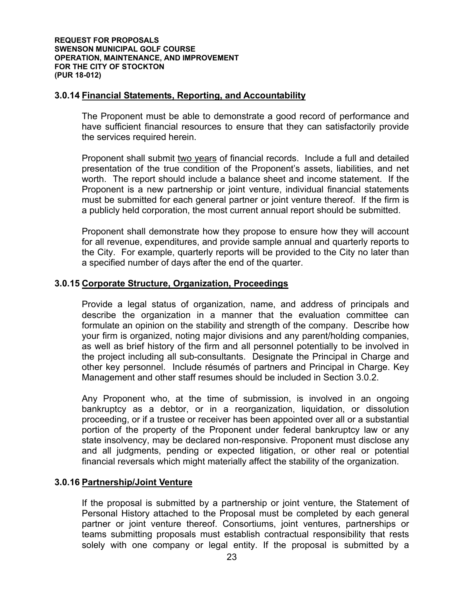#### **3.0.14 Financial Statements, Reporting, and Accountability**

The Proponent must be able to demonstrate a good record of performance and have sufficient financial resources to ensure that they can satisfactorily provide the services required herein.

Proponent shall submit two years of financial records. Include a full and detailed presentation of the true condition of the Proponent's assets, liabilities, and net worth. The report should include a balance sheet and income statement. If the Proponent is a new partnership or joint venture, individual financial statements must be submitted for each general partner or joint venture thereof. If the firm is a publicly held corporation, the most current annual report should be submitted.

Proponent shall demonstrate how they propose to ensure how they will account for all revenue, expenditures, and provide sample annual and quarterly reports to the City. For example, quarterly reports will be provided to the City no later than a specified number of days after the end of the quarter.

#### **3.0.15 Corporate Structure, Organization, Proceedings**

formulate an opinion on the stability and strength of the company. Describe how Provide a legal status of organization, name, and address of principals and describe the organization in a manner that the evaluation committee can your firm is organized, noting major divisions and any parent/holding companies, as well as brief history of the firm and all personnel potentially to be involved in the project including all sub-consultants. Designate the Principal in Charge and other key personnel. Include résumés of partners and Principal in Charge. Key Management and other staff resumes should be included in Section 3.0.2.

Any Proponent who, at the time of submission, is involved in an ongoing bankruptcy as a debtor, or in a reorganization, liquidation, or dissolution proceeding, or if a trustee or receiver has been appointed over all or a substantial portion of the property of the Proponent under federal bankruptcy law or any state insolvency, may be declared non-responsive. Proponent must disclose any and all judgments, pending or expected litigation, or other real or potential financial reversals which might materially affect the stability of the organization.

#### **3.0.16 Partnership/Joint Venture**

If the proposal is submitted by a partnership or joint venture, the Statement of Personal History attached to the Proposal must be completed by each general partner or joint venture thereof. Consortiums, joint ventures, partnerships or teams submitting proposals must establish contractual responsibility that rests solely with one company or legal entity. If the proposal is submitted by a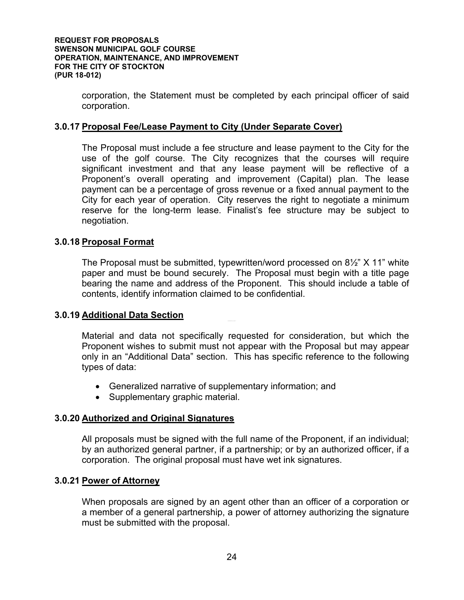> corporation, the Statement must be completed by each principal officer of said corporation.

#### **3.0.17 Proposal Fee/Lease Payment to City (Under Separate Cover)**

The Proposal must include a fee structure and lease payment to the City for the use of the golf course. The City recognizes that the courses will require significant investment and that any lease payment will be reflective of a Proponent's overall operating and improvement (Capital) plan. The lease payment can be a percentage of gross revenue or a fixed annual payment to the City for each year of operation. City reserves the right to negotiate a minimum reserve for the long-term lease. Finalist's fee structure may be subject to negotiation.

#### **3.0.18 Proposal Format**

The Proposal must be submitted, typewritten/word processed on 8½" X 11" white paper and must be bound securely. The Proposal must begin with a title page bearing the name and address of the Proponent. This should include a table of contents, identify information claimed to be confidential.

#### **3.0.19 Additional Data Section**

Material and data not specifically requested for consideration, but which the Proponent wishes to submit must not appear with the Proposal but may appear only in an "Additional Data" section. This has specific reference to the following types of data:

- Generalized narrative of supplementary information; and
- Supplementary graphic material.

#### **3.0.20 Authorized and Original Signatures**

All proposals must be signed with the full name of the Proponent, if an individual; by an authorized general partner, if a partnership; or by an authorized officer, if a corporation. The original proposal must have wet ink signatures.

#### **3.0.21 Power of Attorney**

When proposals are signed by an agent other than an officer of a corporation or a member of a general partnership, a power of attorney authorizing the signature must be submitted with the proposal.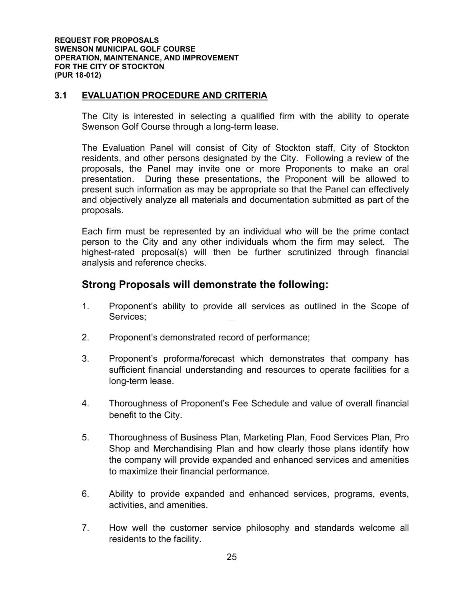#### **3.1 EVALUATION PROCEDURE AND CRITERIA**

The City is interested in selecting a qualified firm with the ability to operate Swenson Golf Course through a long-term lease.

The Evaluation Panel will consist of City of Stockton staff, City of Stockton residents, and other persons designated by the City. Following a review of the proposals, the Panel may invite one or more Proponents to make an oral presentation. During these presentations, the Proponent will be allowed to present such information as may be appropriate so that the Panel can effectively and objectively analyze all materials and documentation submitted as part of the proposals.

Each firm must be represented by an individual who will be the prime contact person to the City and any other individuals whom the firm may select. The highest-rated proposal(s) will then be further scrutinized through financial analysis and reference checks.

#### **Strong Proposals will demonstrate the following:**

- 1. Proponent's ability to provide all services as outlined in the Scope of Services;
- 2. Proponent's demonstrated record of performance;
- 3. Proponent's proforma/forecast which demonstrates that company has sufficient financial understanding and resources to operate facilities for a long-term lease.
- 4. Thoroughness of Proponent's Fee Schedule and value of overall financial benefit to the City.
- 5. Thoroughness of Business Plan, Marketing Plan, Food Services Plan, Pro Shop and Merchandising Plan and how clearly those plans identify how the company will provide expanded and enhanced services and amenities to maximize their financial performance.
- 6. Ability to provide expanded and enhanced services, programs, events, activities, and amenities.
- 7. How well the customer service philosophy and standards welcome all residents to the facility.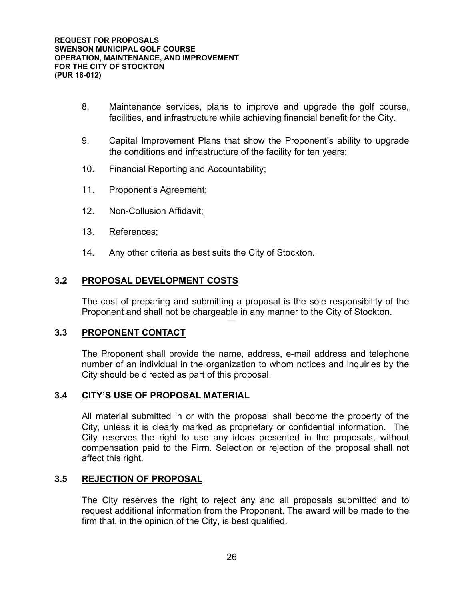- 8. Maintenance services, plans to improve and upgrade the golf course, facilities, and infrastructure while achieving financial benefit for the City.
- 9. Capital Improvement Plans that show the Proponent's ability to upgrade the conditions and infrastructure of the facility for ten years;
- 10. Financial Reporting and Accountability;
- 11. Proponent's Agreement;
- 12. Non-Collusion Affidavit;
- 13. References;
- 14. Any other criteria as best suits the City of Stockton.

#### **3.2 PROPOSAL DEVELOPMENT COSTS**

The cost of preparing and submitting a proposal is the sole responsibility of the Proponent and shall not be chargeable in any manner to the City of Stockton.

#### **3.3 PROPONENT CONTACT**

The Proponent shall provide the name, address, e-mail address and telephone number of an individual in the organization to whom notices and inquiries by the City should be directed as part of this proposal.

#### **3.4 CITY'S USE OF PROPOSAL MATERIAL**

All material submitted in or with the proposal shall become the property of the City, unless it is clearly marked as proprietary or confidential information. The City reserves the right to use any ideas presented in the proposals, without compensation paid to the Firm. Selection or rejection of the proposal shall not affect this right.

#### **3.5 REJECTION OF PROPOSAL**

The City reserves the right to reject any and all proposals submitted and to request additional information from the Proponent. The award will be made to the firm that, in the opinion of the City, is best qualified.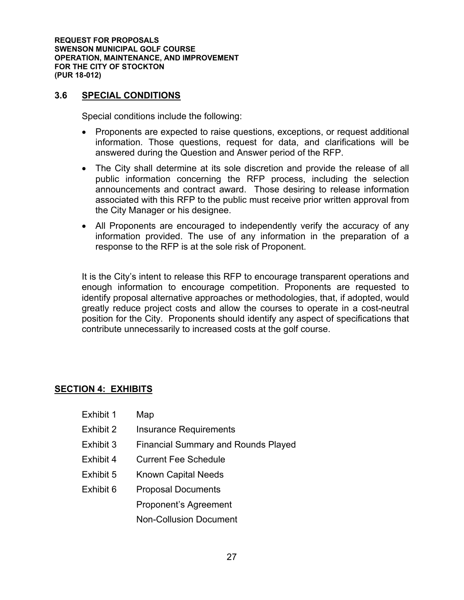#### **3.6 SPECIAL CONDITIONS**

Special conditions include the following:

- Proponents are expected to raise questions, exceptions, or request additional information. Those questions, request for data, and clarifications will be answered during the Question and Answer period of the RFP.
- The City shall determine at its sole discretion and provide the release of all public information concerning the RFP process, including the selection announcements and contract award. Those desiring to release information associated with this RFP to the public must receive prior written approval from the City Manager or his designee.
- All Proponents are encouraged to independently verify the accuracy of any information provided. The use of any information in the preparation of a response to the RFP is at the sole risk of Proponent.

position for the City. Proponents should identify any aspect of specifications that It is the City's intent to release this RFP to encourage transparent operations and enough information to encourage competition. Proponents are requested to identify proposal alternative approaches or methodologies, that, if adopted, would greatly reduce project costs and allow the courses to operate in a cost-neutral contribute unnecessarily to increased costs at the golf course.

#### **SECTION 4: EXHIBITS**

- Exhibit 1 Map
- Exhibit 2 Insurance Requirements
- Exhibit 3 Financial Summary and Rounds Played
- Exhibit 4 Current Fee Schedule
- Exhibit 5 Known Capital Needs
- Exhibit 6 Proposal Documents
	- Proponent's Agreement
		- Non-Collusion Document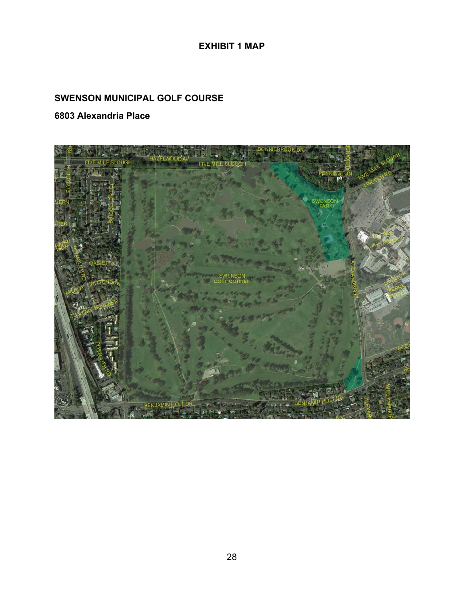#### **EXHIBIT 1 MAP**

### **SWENSON MUNICIPAL GOLF COURSE**

### **6803 Alexandria Place**

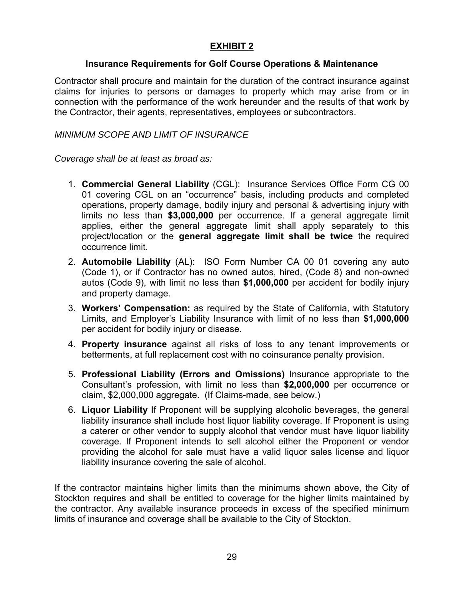#### **EXHIBIT 2**

#### **Insurance Requirements for Golf Course Operations & Maintenance**

Contractor shall procure and maintain for the duration of the contract insurance against claims for injuries to persons or damages to property which may arise from or in connection with the performance of the work hereunder and the results of that work by the Contractor, their agents, representatives, employees or subcontractors.

#### *MINIMUM SCOPE AND LIMIT OF INSURANCE*

*Coverage shall be at least as broad as:*

- 1. **Commercial General Liability** (CGL): Insurance Services Office Form CG 00 01 covering CGL on an "occurrence" basis, including products and completed operations, property damage, bodily injury and personal & advertising injury with limits no less than **\$3,000,000** per occurrence. If a general aggregate limit applies, either the general aggregate limit shall apply separately to this project/location or the **general aggregate limit shall be twice** the required occurrence limit.
- 2. **Automobile Liability** (AL):ISO Form Number CA 00 01 covering any auto (Code 1), or if Contractor has no owned autos, hired, (Code 8) and non-owned autos (Code 9), with limit no less than **\$1,000,000** per accident for bodily injury and property damage.
- 3. **Workers' Compensation:** as required by the State of California, with Statutory Limits, and Employer's Liability Insurance with limit of no less than **\$1,000,000**  per accident for bodily injury or disease.
- 4. **Property insurance** against all risks of loss to any tenant improvements or betterments, at full replacement cost with no coinsurance penalty provision.
- 5. **Professional Liability (Errors and Omissions)** Insurance appropriate to the Consultant's profession, with limit no less than **\$2,000,000** per occurrence or claim, \$2,000,000 aggregate. (If Claims-made, see below.)
- 6. **Liquor Liability** If Proponent will be supplying alcoholic beverages, the general liability insurance shall include host liquor liability coverage. If Proponent is using a caterer or other vendor to supply alcohol that vendor must have liquor liability coverage. If Proponent intends to sell alcohol either the Proponent or vendor providing the alcohol for sale must have a valid liquor sales license and liquor liability insurance covering the sale of alcohol.

If the contractor maintains higher limits than the minimums shown above, the City of Stockton requires and shall be entitled to coverage for the higher limits maintained by the contractor. Any available insurance proceeds in excess of the specified minimum limits of insurance and coverage shall be available to the City of Stockton.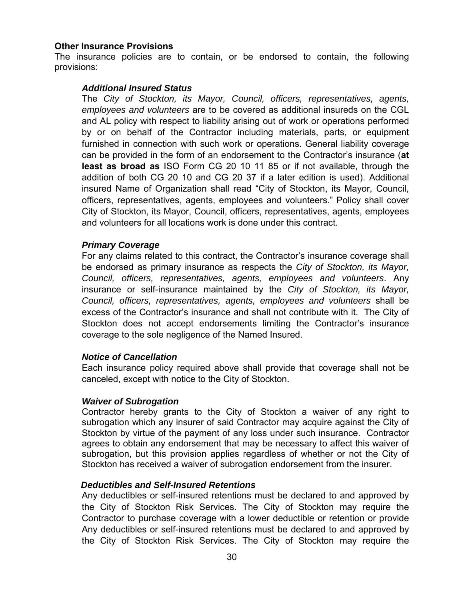#### **Other Insurance Provisions**

The insurance policies are to contain, or be endorsed to contain, the following provisions:

#### *Additional Insured Status*

The *City of Stockton, its Mayor, Council, officers, representatives, agents, employees and volunteers* are to be covered as additional insureds on the CGL and AL policy with respect to liability arising out of work or operations performed by or on behalf of the Contractor including materials, parts, or equipment furnished in connection with such work or operations. General liability coverage can be provided in the form of an endorsement to the Contractor's insurance (**at least as broad as** ISO Form CG 20 10 11 85 or if not available, through the addition of both CG 20 10 and CG 20 37 if a later edition is used). Additional insured Name of Organization shall read "City of Stockton, its Mayor, Council, officers, representatives, agents, employees and volunteers." Policy shall cover City of Stockton, its Mayor, Council, officers, representatives, agents, employees and volunteers for all locations work is done under this contract.

#### *Primary Coverage*

For any claims related to this contract, the Contractor's insurance coverage shall be endorsed as primary insurance as respects the *City of Stockton, its Mayor, Council, officers, representatives, agents, employees and volunteers*. Any insurance or self-insurance maintained by the *City of Stockton, its Mayor, Council, officers, representatives, agents, employees and volunteers* shall be excess of the Contractor's insurance and shall not contribute with it. The City of Stockton does not accept endorsements limiting the Contractor's insurance coverage to the sole negligence of the Named Insured.

#### *Notice of Cancellation*

Each insurance policy required above shall provide that coverage shall not be canceled, except with notice to the City of Stockton.

#### *Waiver of Subrogation*

Contractor hereby grants to the City of Stockton a waiver of any right to subrogation which any insurer of said Contractor may acquire against the City of Stockton by virtue of the payment of any loss under such insurance. Contractor agrees to obtain any endorsement that may be necessary to affect this waiver of subrogation, but this provision applies regardless of whether or not the City of Stockton has received a waiver of subrogation endorsement from the insurer.

#### *Deductibles and Self-Insured Retentions*

Any deductibles or self-insured retentions must be declared to and approved by the City of Stockton Risk Services. The City of Stockton may require the Contractor to purchase coverage with a lower deductible or retention or provide Any deductibles or self-insured retentions must be declared to and approved by the City of Stockton Risk Services. The City of Stockton may require the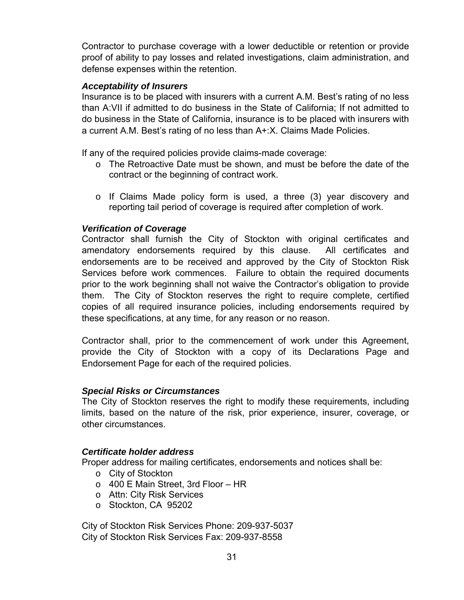Contractor to purchase coverage with a lower deductible or retention or provide proof of ability to pay losses and related investigations, claim administration, and defense expenses within the retention.

#### *Acceptability of Insurers*

Insurance is to be placed with insurers with a current A.M. Best's rating of no less than A:VII if admitted to do business in the State of California; If not admitted to do business in the State of California, insurance is to be placed with insurers with a current A.M. Best's rating of no less than A+:X. Claims Made Policies.

If any of the required policies provide claims-made coverage:

- o The Retroactive Date must be shown, and must be before the date of the contract or the beginning of contract work.
- $\circ$  If Claims Made policy form is used, a three (3) year discovery and reporting tail period of coverage is required after completion of work.

#### *Verification of Coverage*

Contractor shall furnish the City of Stockton with original certificates and amendatory endorsements required by this clause. All certificates and endorsements are to be received and approved by the City of Stockton Risk Services before work commences. Failure to obtain the required documents prior to the work beginning shall not waive the Contractor's obligation to provide them. The City of Stockton reserves the right to require complete, certified copies of all required insurance policies, including endorsements required by these specifications, at any time, for any reason or no reason.

Contractor shall, prior to the commencement of work under this Agreement, provide the City of Stockton with a copy of its Declarations Page and Endorsement Page for each of the required policies.

#### *Special Risks or Circumstances*

The City of Stockton reserves the right to modify these requirements, including limits, based on the nature of the risk, prior experience, insurer, coverage, or other circumstances.

#### *Certificate holder address*

Proper address for mailing certificates, endorsements and notices shall be:

- o City of Stockton
- o 400 E Main Street, 3rd Floor HR
- o Attn: City Risk Services
- o Stockton, CA 95202

City of Stockton Risk Services Phone: 209-937-5037 City of Stockton Risk Services Fax: 209-937-8558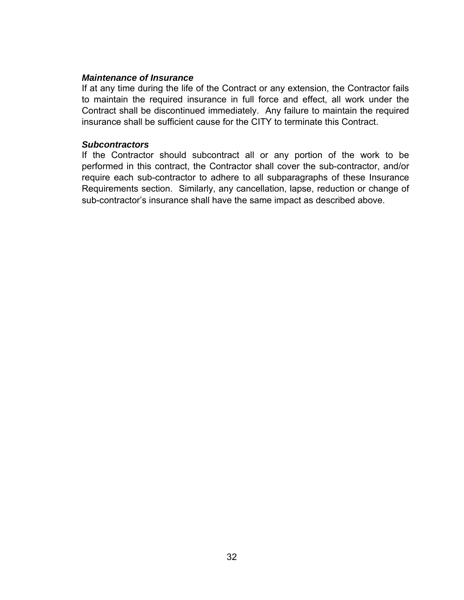#### *Maintenance of Insurance*

If at any time during the life of the Contract or any extension, the Contractor fails to maintain the required insurance in full force and effect, all work under the Contract shall be discontinued immediately. Any failure to maintain the required insurance shall be sufficient cause for the CITY to terminate this Contract.

#### *Subcontractors*

If the Contractor should subcontract all or any portion of the work to be performed in this contract, the Contractor shall cover the sub-contractor, and/or require each sub-contractor to adhere to all subparagraphs of these Insurance Requirements section. Similarly, any cancellation, lapse, reduction or change of sub-contractor's insurance shall have the same impact as described above.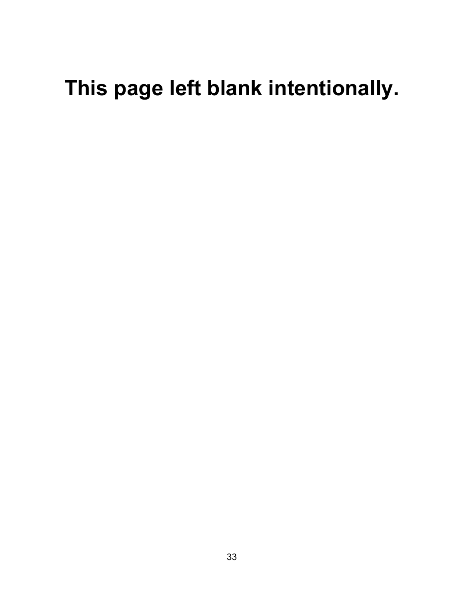# **This page left blank intentionally.**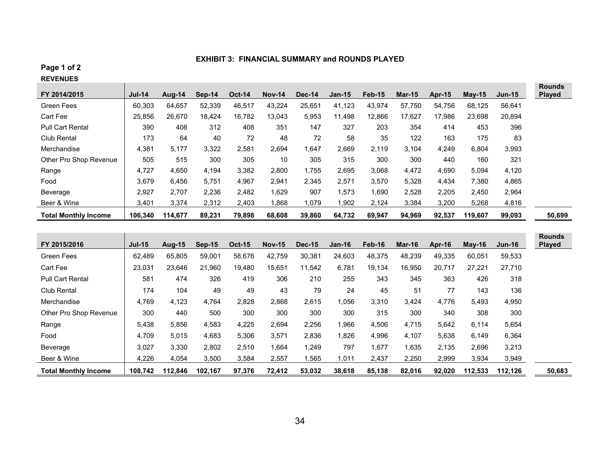#### **EXHIBIT 3: FINANCIAL SUMMARY and ROUNDS PLAYED**

#### **Page 1 of 2 REVENUES**

| FY 2014/2015                | $Jul-14$ | Aug-14  | $Sep-14$ | <b>Oct-14</b> | <b>Nov-14</b> | <b>Dec-14</b> | $Jan-15$ | Feb-15 | <b>Mar-15</b> | <b>Apr-15</b> | $May-15$ | <b>Jun-15</b> | <b>Rounds</b><br><b>Played</b> |
|-----------------------------|----------|---------|----------|---------------|---------------|---------------|----------|--------|---------------|---------------|----------|---------------|--------------------------------|
| <b>Green Fees</b>           | 60,303   | 64.657  | 52.339   | 46,517        | 43,224        | 25,651        | 41,123   | 43,974 | 57.750        | 54,756        | 68.125   | 56,641        |                                |
| Cart Fee                    | 25,856   | 26.670  | 18.424   | 16,782        | 13.043        | 5,953         | 11,498   | 12,866 | 17,627        | 17,986        | 23,698   | 20,894        |                                |
| <b>Pull Cart Rental</b>     | 390      | 408     | 312      | 408           | 351           | 147           | 327      | 203    | 354           | 414           | 453      | 396           |                                |
| <b>Club Rental</b>          | 173      | 64      | 40       | 72            | 48            | 72            | 58       | 35     | 122           | 163           | 175      | 83            |                                |
| Merchandise                 | 4,381    | 5,177   | 3,322    | 2,581         | 2,694         | ,647          | 2,669    | 2,119  | 3,104         | 4,249         | 6,804    | 3,993         |                                |
| Other Pro Shop Revenue      | 505      | 515     | 300      | 305           | 10            | 305           | 315      | 300    | 300           | 440           | 160      | 321           |                                |
| Range                       | 4,727    | 4,650   | 4,194    | 3,382         | 2,800         | 1,755         | 2,695    | 3,068  | 4,472         | 4,690         | 5,094    | 4,120         |                                |
| Food                        | 3,679    | 6.456   | 5,751    | 4,967         | 2,941         | 2,345         | 2,571    | 3,570  | 5,328         | 4,434         | 7,380    | 4,865         |                                |
| Beverage                    | 2,927    | 2,707   | 2,236    | 2,482         | 1,629         | 907           | ,573     | 1,690  | 2,528         | 2,205         | 2,450    | 2,964         |                                |
| Beer & Wine                 | 3,401    | 3,374   | 2,312    | 2,403         | 1,868         | 1.079         | 902. ا   | 2,124  | 3,384         | 3,200         | 5,268    | 4,816         |                                |
| <b>Total Monthly Income</b> | 106,340  | 114,677 | 89,231   | 79,898        | 68,608        | 39,860        | 64,732   | 69,947 | 94,969        | 92,537        | 119,607  | 99,093        | 50,699                         |

| FY 2015/2016                | $Jul-15$ | <b>Aug-15</b> | $Sep-15$ | <b>Oct-15</b> | <b>Nov-15</b> | <b>Dec-15</b> | $Jan-16$ | Feb-16 | Mar-16 | <b>Apr-16</b> | $May-16$ | <b>Jun-16</b> | <b>Rounds</b><br><b>Played</b> |
|-----------------------------|----------|---------------|----------|---------------|---------------|---------------|----------|--------|--------|---------------|----------|---------------|--------------------------------|
| Green Fees                  | 62,489   | 65,805        | 59.001   | 58,676        | 42,759        | 30,381        | 24,603   | 48,375 | 48,239 | 49,335        | 60,051   | 59,533        |                                |
| Cart Fee                    | 23,031   | 23.646        | 21.960   | 19,480        | 15,651        | 11,542        | 6,781    | 19,134 | 16,950 | 20,717        | 27.221   | 27,710        |                                |
| <b>Pull Cart Rental</b>     | 581      | 474           | 326      | 419           | 306           | 210           | 255      | 343    | 345    | 363           | 426      | 318           |                                |
| <b>Club Rental</b>          | 174      | 104           | 49       | 49            | 43            | 79            | 24       | 45     | 51     | 77            | 143      | 136           |                                |
| Merchandise                 | 4,769    | 4,123         | 4,764    | 2,828         | 2,868         | 2,615         | 1.056    | 3,310  | 3,424  | 4,776         | 5,493    | 4,950         |                                |
| Other Pro Shop Revenue      | 300      | 440           | 500      | 300           | 300           | 300           | 300      | 315    | 300    | 340           | 308      | 300           |                                |
| Range                       | 5,438    | 5,856         | 4,583    | 4,225         | 2,694         | 2,256         | .966     | 4,506  | 4,715  | 5,642         | 6,114    | 5,654         |                                |
| Food                        | 4,709    | 5,015         | 4,683    | 5,306         | 3,571         | 2,836         | ,826     | 4,996  | 4,107  | 5,638         | 6,149    | 6,364         |                                |
| Beverage                    | 3,027    | 3,330         | 2,802    | 2,510         | 1,664         | 1,249         | 797      | 1,677  | 1,635  | 2,135         | 2,696    | 3,213         |                                |
| Beer & Wine                 | 4,226    | 4,054         | 3,500    | 3,584         | 2,557         | .565          | 1.011    | 2,437  | 2,250  | 2,999         | 3,934    | 3,949         |                                |
| <b>Total Monthly Income</b> | 108.742  | 112,846       | 102,167  | 97,376        | 72,412        | 53,032        | 38,618   | 85,138 | 82,016 | 92,020        | 112,533  | 112,126       | 50,683                         |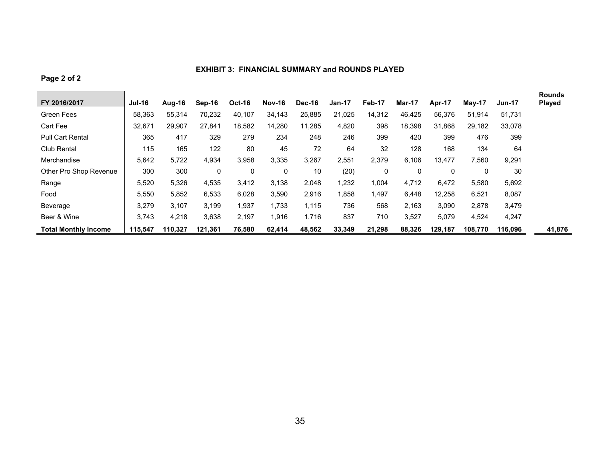#### **EXHIBIT 3: FINANCIAL SUMMARY and ROUNDS PLAYED**

**Page 2 of 2** 

| FY 2016/2017                | <b>Jul-16</b> | Aug-16  | Sep-16  | <b>Oct-16</b> | <b>Nov-16</b> | <b>Dec-16</b> | <b>Jan-17</b> | Feb-17 | Mar-17 | Apr-17  | $May-17$ | <b>Jun-17</b> | <b>Rounds</b><br><b>Played</b> |
|-----------------------------|---------------|---------|---------|---------------|---------------|---------------|---------------|--------|--------|---------|----------|---------------|--------------------------------|
| <b>Green Fees</b>           | 58,363        | 55,314  | 70,232  | 40,107        | 34,143        | 25,885        | 21,025        | 14,312 | 46,425 | 56,376  | 51,914   | 51,731        |                                |
| Cart Fee                    | 32,671        | 29,907  | 27.841  | 18,582        | 14,280        | 11,285        | 4,820         | 398    | 18,398 | 31,868  | 29,182   | 33,078        |                                |
| <b>Pull Cart Rental</b>     | 365           | 417     | 329     | 279           | 234           | 248           | 246           | 399    | 420    | 399     | 476      | 399           |                                |
| <b>Club Rental</b>          | 115           | 165     | 122     | 80            | 45            | 72            | 64            | 32     | 128    | 168     | 134      | 64            |                                |
| Merchandise                 | 5,642         | 5,722   | 4,934   | 3,958         | 3,335         | 3,267         | 2,551         | 2,379  | 6,106  | 13,477  | 7,560    | 9,291         |                                |
| Other Pro Shop Revenue      | 300           | 300     | 0       | 0             | $\mathbf{0}$  | 10            | (20)          | 0      | 0      | 0       | 0        | 30            |                                |
| Range                       | 5,520         | 5,326   | 4,535   | 3,412         | 3,138         | 2,048         | 1,232         | 1,004  | 4,712  | 6,472   | 5,580    | 5,692         |                                |
| Food                        | 5,550         | 5,852   | 6,533   | 6,028         | 3,590         | 2,916         | .858          | 1,497  | 6,448  | 12,258  | 6,521    | 8,087         |                                |
| Beverage                    | 3,279         | 3,107   | 3,199   | 1,937         | 1,733         | 1,115         | 736           | 568    | 2,163  | 3,090   | 2,878    | 3,479         |                                |
| Beer & Wine                 | 3,743         | 4,218   | 3,638   | 2,197         | 1,916         | 1,716         | 837           | 710    | 3,527  | 5,079   | 4,524    | 4,247         |                                |
| <b>Total Monthly Income</b> | 115.547       | 110,327 | 121.361 | 76,580        | 62,414        | 48,562        | 33,349        | 21,298 | 88,326 | 129,187 | 108.770  | 116,096       | 41,876                         |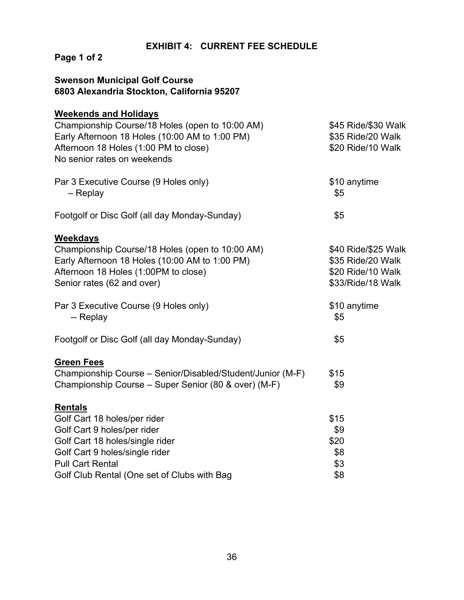#### **EXHIBIT 4: CURRENT FEE SCHEDULE**

### **Page 1 of 2**

#### **Swenson Municipal Golf Course 6803 Alexandria Stockton, California 95207**

| <b>Weekends and Holidays</b>                               |                     |
|------------------------------------------------------------|---------------------|
| Championship Course/18 Holes (open to 10:00 AM)            | \$45 Ride/\$30 Walk |
| Early Afternoon 18 Holes (10:00 AM to 1:00 PM)             | \$35 Ride/20 Walk   |
| Afternoon 18 Holes (1:00 PM to close)                      | \$20 Ride/10 Walk   |
| No senior rates on weekends                                |                     |
| Par 3 Executive Course (9 Holes only)                      | \$10 anytime        |
| - Replay                                                   | \$5                 |
| Footgolf or Disc Golf (all day Monday-Sunday)              | \$5                 |
| <b>Weekdays</b>                                            |                     |
| Championship Course/18 Holes (open to 10:00 AM)            | \$40 Ride/\$25 Walk |
| Early Afternoon 18 Holes (10:00 AM to 1:00 PM)             | \$35 Ride/20 Walk   |
| Afternoon 18 Holes (1:00PM to close)                       | \$20 Ride/10 Walk   |
| Senior rates (62 and over)                                 | \$33/Ride/18 Walk   |
| Par 3 Executive Course (9 Holes only)                      | \$10 anytime        |
| -- Replay                                                  | \$5                 |
| Footgolf or Disc Golf (all day Monday-Sunday)              | \$5                 |
| <b>Green Fees</b>                                          |                     |
| Championship Course - Senior/Disabled/Student/Junior (M-F) | \$15                |
| Championship Course - Super Senior (80 & over) (M-F)       | \$9                 |
| <b>Rentals</b>                                             |                     |
| Golf Cart 18 holes/per rider                               | \$15                |
| Golf Cart 9 holes/per rider                                | \$9                 |
| Golf Cart 18 holes/single rider                            | \$20                |
| Golf Cart 9 holes/single rider                             | \$8                 |
| <b>Pull Cart Rental</b>                                    | \$3                 |
| Golf Club Rental (One set of Clubs with Bag                | \$8                 |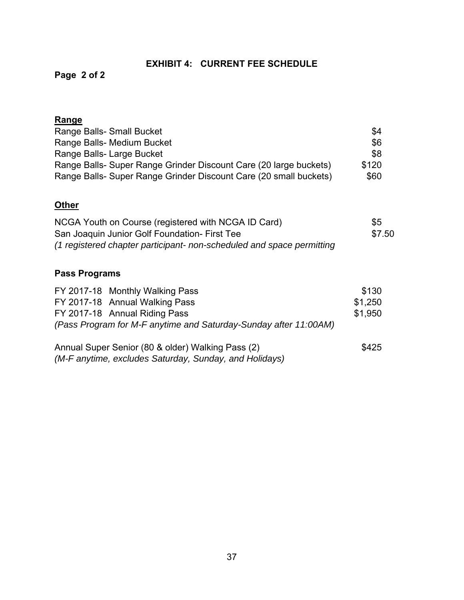#### **EXHIBIT 4: CURRENT FEE SCHEDULE**

**Page 2 of 2** 

## **Range**

| Range Balls- Small Bucket                                                                                              | \$4     |  |  |  |  |  |  |
|------------------------------------------------------------------------------------------------------------------------|---------|--|--|--|--|--|--|
| \$6<br>Range Balls- Medium Bucket                                                                                      |         |  |  |  |  |  |  |
| Range Balls- Large Bucket                                                                                              | \$8     |  |  |  |  |  |  |
| Range Balls- Super Range Grinder Discount Care (20 large buckets)                                                      | \$120   |  |  |  |  |  |  |
| Range Balls- Super Range Grinder Discount Care (20 small buckets)                                                      | \$60    |  |  |  |  |  |  |
| <b>Other</b>                                                                                                           |         |  |  |  |  |  |  |
| NCGA Youth on Course (registered with NCGA ID Card)                                                                    | \$5     |  |  |  |  |  |  |
| San Joaquin Junior Golf Foundation- First Tee<br>(1 registered chapter participant- non-scheduled and space permitting | \$7.50  |  |  |  |  |  |  |
| <b>Pass Programs</b>                                                                                                   |         |  |  |  |  |  |  |
| FY 2017-18 Monthly Walking Pass                                                                                        | \$130   |  |  |  |  |  |  |
| FY 2017-18 Annual Walking Pass                                                                                         | \$1,250 |  |  |  |  |  |  |
| \$1,950<br>FY 2017-18 Annual Riding Pass                                                                               |         |  |  |  |  |  |  |
| (Pass Program for M-F anytime and Saturday-Sunday after 11:00AM)                                                       |         |  |  |  |  |  |  |
| Annual Super Senior (80 & older) Walking Pass (2)                                                                      | \$425   |  |  |  |  |  |  |
| (M-F anytime, excludes Saturday, Sunday, and Holidays)                                                                 |         |  |  |  |  |  |  |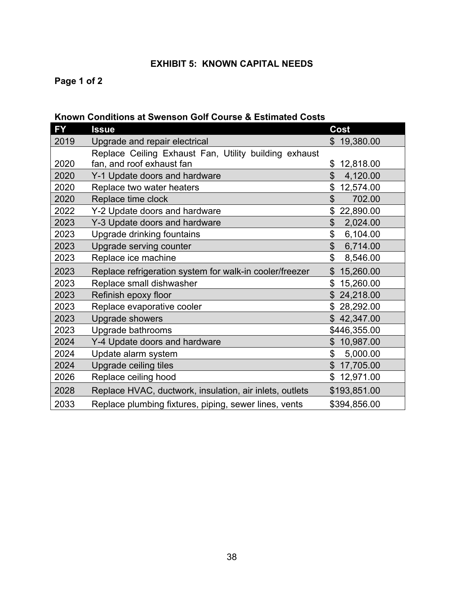#### **EXHIBIT 5: KNOWN CAPITAL NEEDS**

# **Page 1 of 2**

#### **Known Conditions at Swenson Golf Course & Estimated Costs**

| <b>FY</b> | <b>Issue</b>                                            | Cost                       |
|-----------|---------------------------------------------------------|----------------------------|
| 2019      | Upgrade and repair electrical                           | 19,380.00<br>\$            |
|           | Replace Ceiling Exhaust Fan, Utility building exhaust   |                            |
| 2020      | fan, and roof exhaust fan                               | 12,818.00<br>\$            |
| 2020      | Y-1 Update doors and hardware                           | $\mathfrak{D}$<br>4,120.00 |
| 2020      | Replace two water heaters                               | \$<br>12,574.00            |
| 2020      | Replace time clock                                      | \$<br>702.00               |
| 2022      | Y-2 Update doors and hardware                           | \$<br>22,890.00            |
| 2023      | Y-3 Update doors and hardware                           | \$<br>2,024.00             |
| 2023      | Upgrade drinking fountains                              | \$<br>6,104.00             |
| 2023      | Upgrade serving counter                                 | \$<br>6,714.00             |
| 2023      | Replace ice machine                                     | \$<br>8,546.00             |
| 2023      | Replace refrigeration system for walk-in cooler/freezer | 15,260.00<br>\$            |
| 2023      | Replace small dishwasher                                | 15,260.00<br>\$            |
| 2023      | Refinish epoxy floor                                    | 24,218.00                  |
| 2023      | Replace evaporative cooler                              | 28,292.00                  |
| 2023      | <b>Upgrade showers</b>                                  | 42,347.00<br>\$            |
| 2023      | Upgrade bathrooms                                       | \$446,355.00               |
| 2024      | Y-4 Update doors and hardware                           | 10,987.00<br>\$            |
| 2024      | Update alarm system                                     | \$<br>5,000.00             |
| 2024      | Upgrade ceiling tiles                                   | \$17,705.00                |
| 2026      | Replace ceiling hood                                    | \$12,971.00                |
| 2028      | Replace HVAC, ductwork, insulation, air inlets, outlets | \$193,851.00               |
| 2033      | Replace plumbing fixtures, piping, sewer lines, vents   | \$394,856.00               |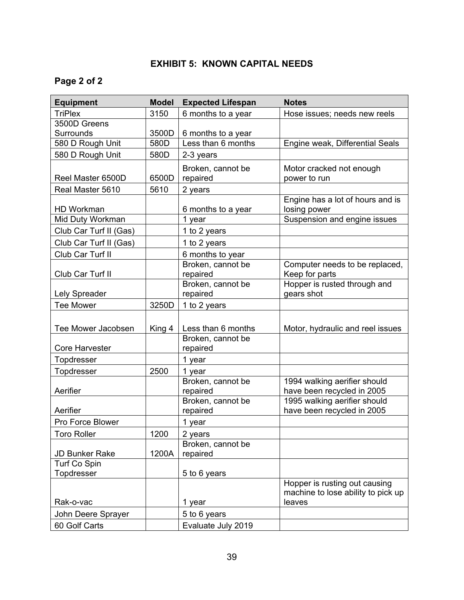#### **EXHIBIT 5: KNOWN CAPITAL NEEDS**

# **Page 2 of 2**

| <b>Equipment</b>                            | <b>Model</b> | <b>Expected Lifespan</b>                | <b>Notes</b>                                                        |
|---------------------------------------------|--------------|-----------------------------------------|---------------------------------------------------------------------|
| <b>TriPlex</b>                              | 3150         | 6 months to a year                      | Hose issues; needs new reels                                        |
| 3500D Greens                                |              |                                         |                                                                     |
| Surrounds                                   | 3500D        | 6 months to a year                      |                                                                     |
| 580 D Rough Unit                            | 580D         | Less than 6 months                      | Engine weak, Differential Seals                                     |
| 580 D Rough Unit                            | 580D         | 2-3 years                               |                                                                     |
| Reel Master 6500D                           | 6500D        | Broken, cannot be<br>repaired           | Motor cracked not enough<br>power to run                            |
| Real Master 5610                            | 5610         | 2 years                                 |                                                                     |
|                                             |              |                                         | Engine has a lot of hours and is                                    |
| <b>HD Workman</b>                           |              | 6 months to a year                      | losing power                                                        |
| Mid Duty Workman                            |              | 1 year                                  | Suspension and engine issues                                        |
| Club Car Turf II (Gas)                      |              | 1 to 2 years                            |                                                                     |
| Club Car Turf II (Gas)                      |              | 1 to 2 years                            |                                                                     |
| Club Car Turf II                            |              | 6 months to year                        |                                                                     |
| Club Car Turf II                            |              | Broken, cannot be<br>repaired           | Computer needs to be replaced,<br>Keep for parts                    |
| Lely Spreader                               |              | Broken, cannot be<br>repaired           | Hopper is rusted through and<br>gears shot                          |
| <b>Tee Mower</b>                            | 3250D        | 1 to 2 years                            |                                                                     |
| Tee Mower Jacobsen<br><b>Core Harvester</b> | King 4       | Less than 6 months<br>Broken, cannot be | Motor, hydraulic and reel issues                                    |
|                                             |              | repaired                                |                                                                     |
| <b>Topdresser</b>                           |              | 1 year                                  |                                                                     |
| <b>Topdresser</b>                           | 2500         | 1 year                                  |                                                                     |
| Aerifier                                    |              | Broken, cannot be<br>repaired           | 1994 walking aerifier should<br>have been recycled in 2005          |
| Aerifier                                    |              | Broken, cannot be<br>repaired           | 1995 walking aerifier should<br>have been recycled in 2005          |
| Pro Force Blower                            |              | 1 year                                  |                                                                     |
| <b>Toro Roller</b>                          | 1200         | 2 years                                 |                                                                     |
| <b>JD Bunker Rake</b>                       | 1200A        | Broken, cannot be<br>repaired           |                                                                     |
| <b>Turf Co Spin</b>                         |              |                                         |                                                                     |
| <b>Topdresser</b>                           |              | 5 to 6 years                            | Hopper is rusting out causing<br>machine to lose ability to pick up |
| Rak-o-vac                                   |              | 1 year                                  | leaves                                                              |
| John Deere Sprayer                          |              | 5 to 6 years                            |                                                                     |
| 60 Golf Carts                               |              | Evaluate July 2019                      |                                                                     |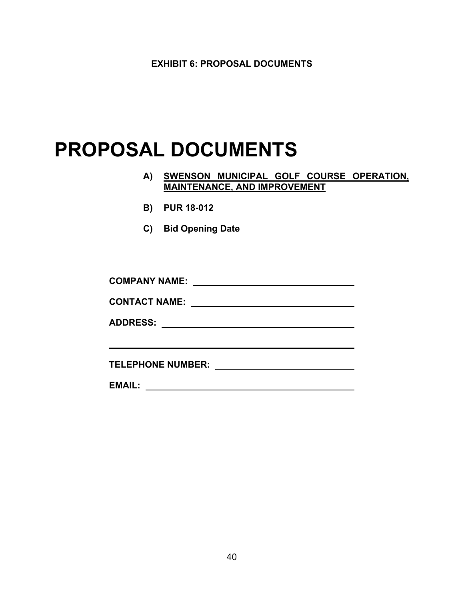# **PROPOSAL DOCUMENTS**

- **A) SWENSON MUNICIPAL GOLF COURSE OPERATION, MAINTENANCE, AND IMPROVEMENT**
- **B) PUR 18-012**
- **C) Bid Opening Date**

| <b>COMPANY NAME:</b>     |                                                            |
|--------------------------|------------------------------------------------------------|
|                          |                                                            |
| <b>CONTACT NAME:</b>     |                                                            |
| <b>ADDRESS:</b>          | <u> 1989 - John Stein, Amerikaansk politiker (</u> † 1908) |
|                          |                                                            |
|                          |                                                            |
| <b>TELEPHONE NUMBER:</b> |                                                            |
|                          |                                                            |
| <b>EMAIL:</b>            |                                                            |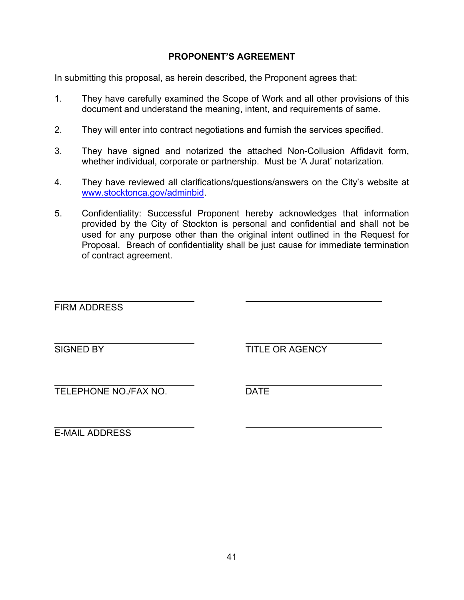#### **PROPONENT'S AGREEMENT**

In submitting this proposal, as herein described, the Proponent agrees that:

- 1. They have carefully examined the Scope of Work and all other provisions of this document and understand the meaning, intent, and requirements of same.
- 2. They will enter into contract negotiations and furnish the services specified.
- 3. They have signed and notarized the attached Non-Collusion Affidavit form, whether individual, corporate or partnership. Must be 'A Jurat' notarization.
- 4. They have reviewed all clarifications/questions/answers on the City's website at www.stocktonca.gov/adminbid.
- 5. Confidentiality: Successful Proponent hereby acknowledges that information provided by the City of Stockton is personal and confidential and shall not be used for any purpose other than the original intent outlined in the Request for Proposal. Breach of confidentiality shall be just cause for immediate termination of contract agreement.

FIRM ADDRESS

 $\overline{a}$ 

 $\overline{a}$ 

 $\overline{a}$ 

SIGNED BY TITLE OR AGENCY

 $\overline{a}$ TELEPHONE NO./FAX NO. DATE

E-MAIL ADDRESS